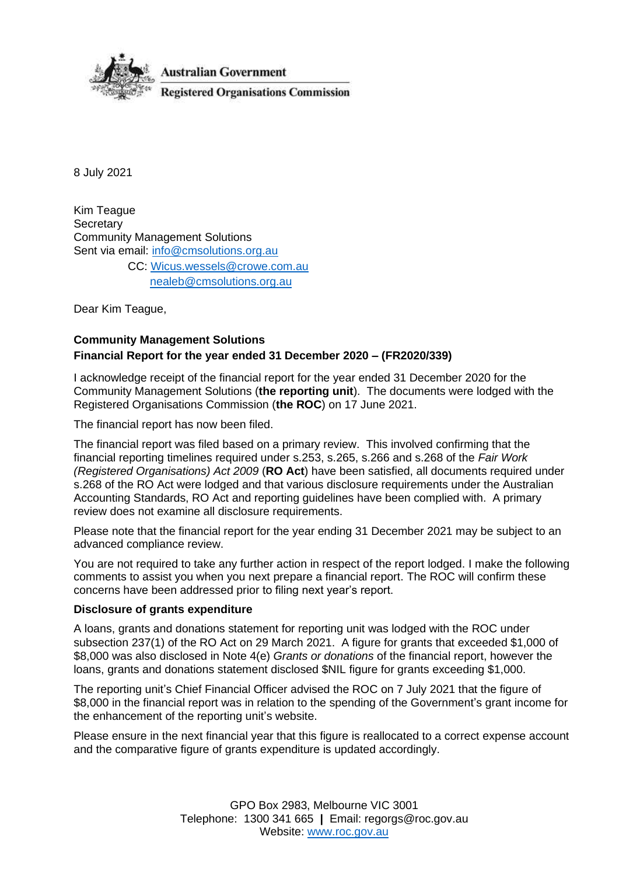

8 July 2021

Kim Teague **Secretary** Community Management Solutions Sent via email: [info@cmsolutions.org.au](mailto:info@cmsolutions.org.au) CC: [Wicus.wessels@crowe.com.au](mailto:Wicus.wessels@crowe.com.au) [nealeb@cmsolutions.org.au](mailto:nealeb@cmsolutions.org.au)

Dear Kim Teague,

# **Community Management Solutions Financial Report for the year ended 31 December 2020 – (FR2020/339)**

I acknowledge receipt of the financial report for the year ended 31 December 2020 for the Community Management Solutions (**the reporting unit**). The documents were lodged with the Registered Organisations Commission (**the ROC**) on 17 June 2021.

The financial report has now been filed.

The financial report was filed based on a primary review. This involved confirming that the financial reporting timelines required under s.253, s.265, s.266 and s.268 of the *Fair Work (Registered Organisations) Act 2009* (**RO Act**) have been satisfied, all documents required under s.268 of the RO Act were lodged and that various disclosure requirements under the Australian Accounting Standards, RO Act and reporting guidelines have been complied with. A primary review does not examine all disclosure requirements.

Please note that the financial report for the year ending 31 December 2021 may be subject to an advanced compliance review.

You are not required to take any further action in respect of the report lodged. I make the following comments to assist you when you next prepare a financial report. The ROC will confirm these concerns have been addressed prior to filing next year's report.

# **Disclosure of grants expenditure**

A loans, grants and donations statement for reporting unit was lodged with the ROC under subsection 237(1) of the RO Act on 29 March 2021. A figure for grants that exceeded \$1,000 of \$8,000 was also disclosed in Note 4(e) *Grants or donations* of the financial report, however the loans, grants and donations statement disclosed \$NIL figure for grants exceeding \$1,000.

The reporting unit's Chief Financial Officer advised the ROC on 7 July 2021 that the figure of \$8,000 in the financial report was in relation to the spending of the Government's grant income for the enhancement of the reporting unit's website.

Please ensure in the next financial year that this figure is reallocated to a correct expense account and the comparative figure of grants expenditure is updated accordingly.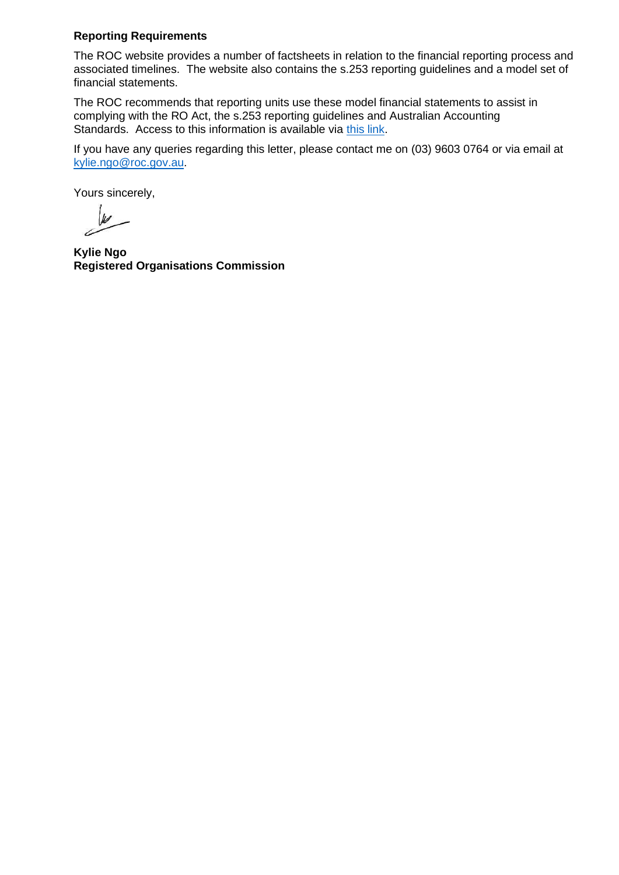# **Reporting Requirements**

The ROC website provides a number of factsheets in relation to the financial reporting process and associated timelines. The website also contains the s.253 reporting guidelines and a model set of financial statements.

The ROC recommends that reporting units use these model financial statements to assist in complying with the RO Act, the s.253 reporting guidelines and Australian Accounting Standards. Access to this information is available via [this link.](https://www.roc.gov.au/running-a-registered-organisation/financial-reporting)

If you have any queries regarding this letter, please contact me on (03) 9603 0764 or via email at [kylie.ngo@roc.gov.au.](mailto:kylie.ngo@roc.gov.au)

Yours sincerely,

W

**Kylie Ngo Registered Organisations Commission**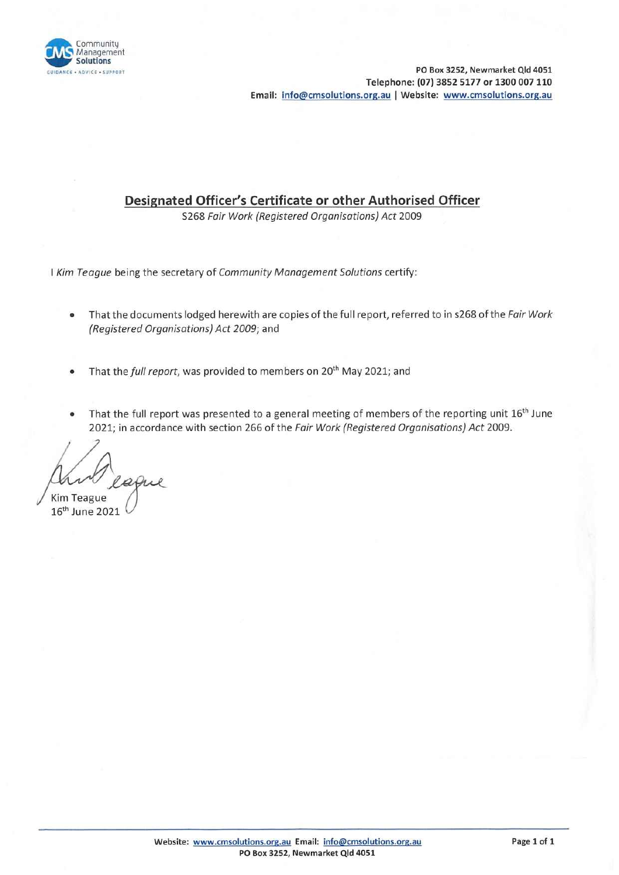

BANCE • ADVICE • SUPPORT **PO Box 3252, Newmarket Qld 4051** Telephone: (07) 3852 5177 or 1300 007 110 Email: info@cmsolutions.org.au I Website: www.cmsolutions.org.au

# Designated Officer's Certificate or other Authorised Officer

S268 Fair Work (Registered Organisations) Act 2009

I Kim Teague being the secretary of Community Management Solutions certify:

- That the documents lodged herewith are copies of the full report, referred to in s268 of the Fair Work (Registered Organisations) Act 2009; and
- That the full report, was provided to members on  $20<sup>th</sup>$  May 2021; and
- That the full report was presented to a general meeting of members of the reporting unit 16<sup>th</sup> June 2021; in accordance with section 266 of the Fair Work (Registered Organisations) Act 2009.

Kim Teague

16th June 2021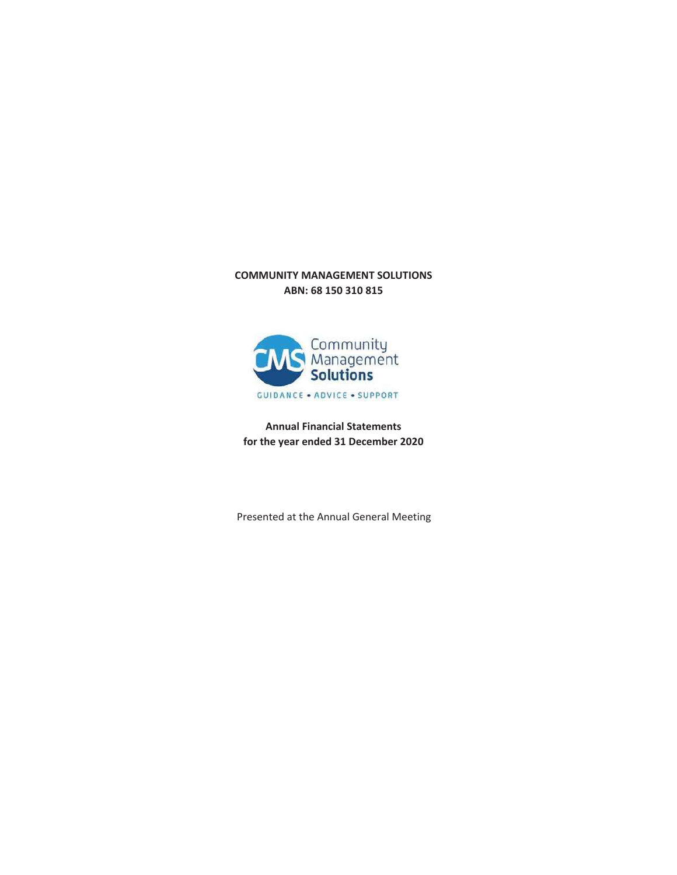# **COMMUNITY MANAGEMENT SOLUTIONS ABN: 68 150 310 815**



**Annual Financial Statements for the year ended 31 December 2020**

Presented at the Annual General Meeting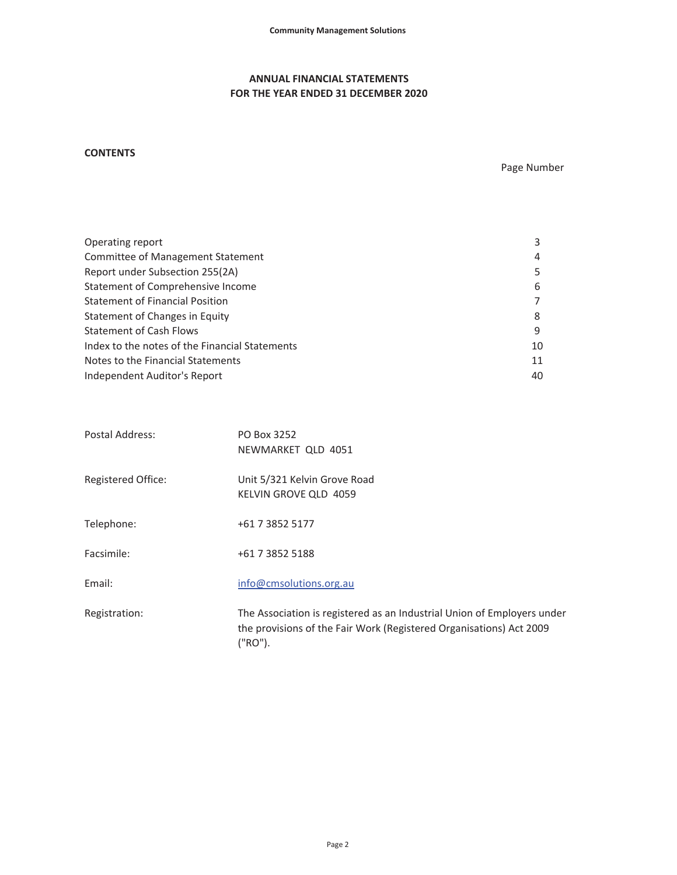# **ANNUAL FINANCIAL STATEMENTS FOR THE YEAR ENDED 31 DECEMBER 2020**

# **CONTENTS**

Page Number

| Operating report                               | 3  |
|------------------------------------------------|----|
| Committee of Management Statement              | 4  |
| Report under Subsection 255(2A)                | 5  |
| Statement of Comprehensive Income              | 6  |
| <b>Statement of Financial Position</b>         |    |
| Statement of Changes in Equity                 | 8  |
| <b>Statement of Cash Flows</b>                 | 9  |
| Index to the notes of the Financial Statements | 10 |
| Notes to the Financial Statements              | 11 |
| Independent Auditor's Report                   | 40 |

| Postal Address:    | PO Box 3252<br>NEWMARKET QLD 4051                                                                                                                         |
|--------------------|-----------------------------------------------------------------------------------------------------------------------------------------------------------|
| Registered Office: | Unit 5/321 Kelvin Grove Road<br>KELVIN GROVE QLD 4059                                                                                                     |
| Telephone:         | +61 7 3852 5177                                                                                                                                           |
| Facsimile:         | +61 7 3852 5188                                                                                                                                           |
| Email:             | info@cmsolutions.org.au                                                                                                                                   |
| Registration:      | The Association is registered as an Industrial Union of Employers under<br>the provisions of the Fair Work (Registered Organisations) Act 2009<br>("RO"). |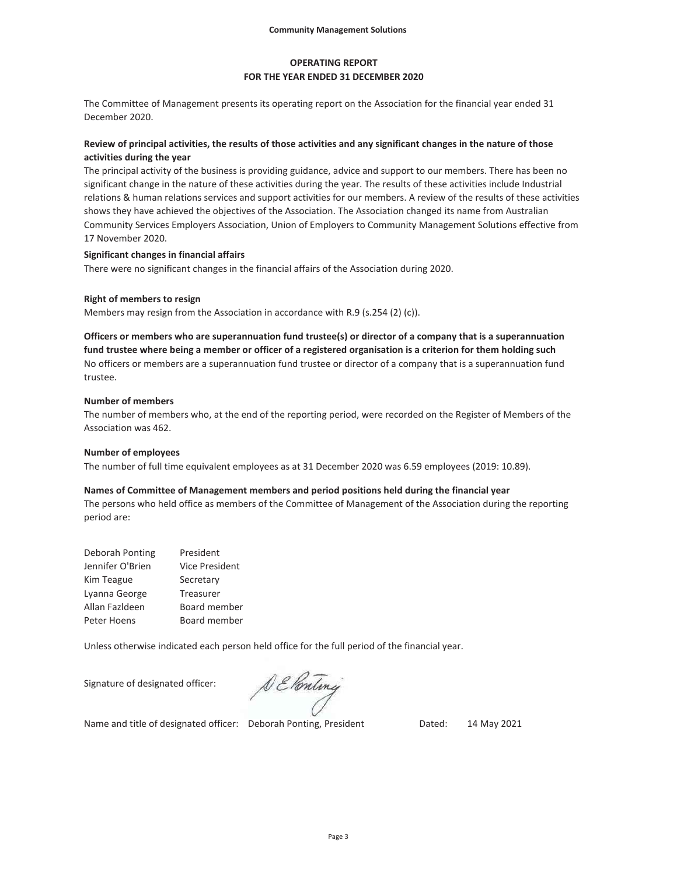# **OPERATING REPORT FOR THE YEAR ENDED 31 DECEMBER 2020**

The Committee of Management presents its operating report on the Association for the financial year ended 31 December 2020.

# **Review of principal activities, the results of those activities and any significant changes in the nature of those activities during the year**

The principal activity of the business is providing guidance, advice and support to our members. There has been no significant change in the nature of these activities during the year. The results of these activities include Industrial relations & human relations services and support activities for our members. A review of the results of these activities shows they have achieved the objectives of the Association. The Association changed its name from Australian Community Services Employers Association, Union of Employers to Community Management Solutions effective from 17 November 2020.

### **Significant changes in financial affairs**

There were no significant changes in the financial affairs of the Association during 2020.

#### **Right of members to resign**

Members may resign from the Association in accordance with R.9 (s.254 (2) (c)).

No officers or members are a superannuation fund trustee or director of a company that is a superannuation fund trustee. **Officers or members who are superannuation fund trustee(s) or director of a company that is a superannuation fund trustee where being a member or officer of a registered organisation is a criterion for them holding such** 

#### **Number of members**

The number of members who, at the end of the reporting period, were recorded on the Register of Members of the Association was 462.

#### **Number of employees**

The number of full time equivalent employees as at 31 December 2020 was 6.59 employees (2019: 10.89).

### **Names of Committee of Management members and period positions held during the financial year**

The persons who held office as members of the Committee of Management of the Association during the reporting period are:

| President             |
|-----------------------|
| <b>Vice President</b> |
| Secretary             |
| Treasurer             |
| Board member          |
| Board member          |
|                       |

Unless otherwise indicated each person held office for the full period of the financial year.

Signature of designated officer:

DE Ponting

Name and title of designated officer: Deborah Ponting, President Dated: 14 May 2021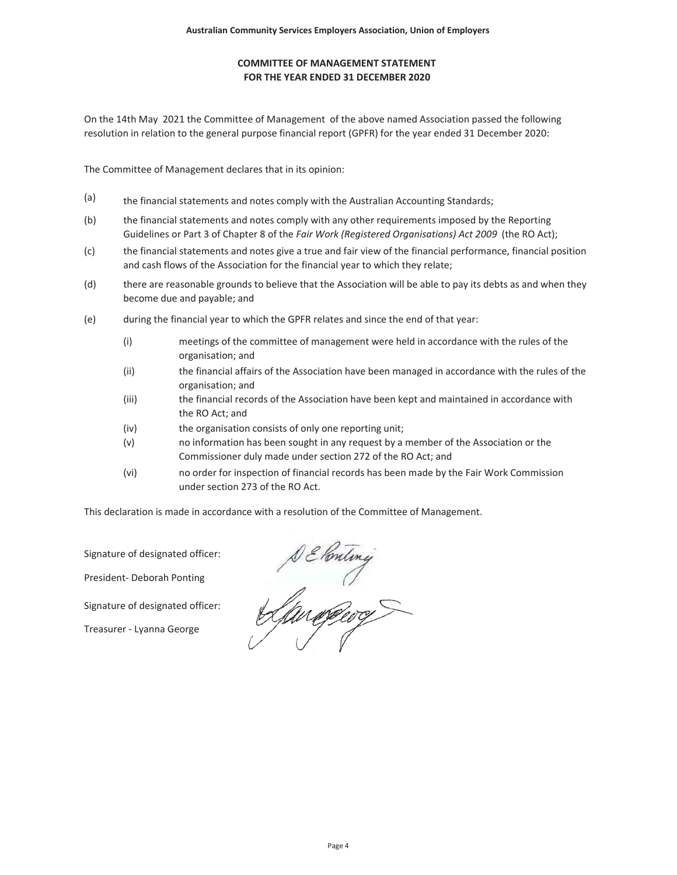# **FOR THE YEAR ENDED 31 DECEMBER 2020 COMMITTEE OF MANAGEMENT STATEMENT**

On the 14th May 2021 the Committee of Management of the above named Association passed the following resolution in relation to the general purpose financial report (GPFR) for the year ended 31 December 2020:

The Committee of Management declares that in its opinion:

- (a) the financial statements and notes comply with the Australian Accounting Standards;
- (b) the financial statements and notes comply with any other requirements imposed by the Reporting Guidelines or Part 3 of Chapter 8 of the *Fair Work (Registered Organisations) Act 2009* (the RO Act);
- $(c)$ the financial statements and notes give a true and fair view of the financial performance, financial position and cash flows of the Association for the financial year to which they relate;
- (d) there are reasonable grounds to believe that the Association will be able to pay its debts as and when they become due and payable; and
- (e) during the financial year to which the GPFR relates and since the end of that year:
	- (i) meetings of the committee of management were held in accordance with the rules of the organisation; and
	- (ii) the financial affairs of the Association have been managed in accordance with the rules of the organisation; and
	- (iii) the financial records of the Association have been kept and maintained in accordance with the RO Act; and
	- (iv) the organisation consists of only one reporting unit;
	- (v) no information has been sought in any request by a member of the Association or the Commissioner duly made under section 272 of the RO Act; and
	- (vi) no order for inspection of financial records has been made by the Fair Work Commission under section 273 of the RO Act.

This declaration is made in accordance with a resolution of the Committee of Management.

Signature of designated officer:

President- Deborah Ponting

Signature of designated officer:

Treasurer - Lyanna George

s & Conting<br>April 1990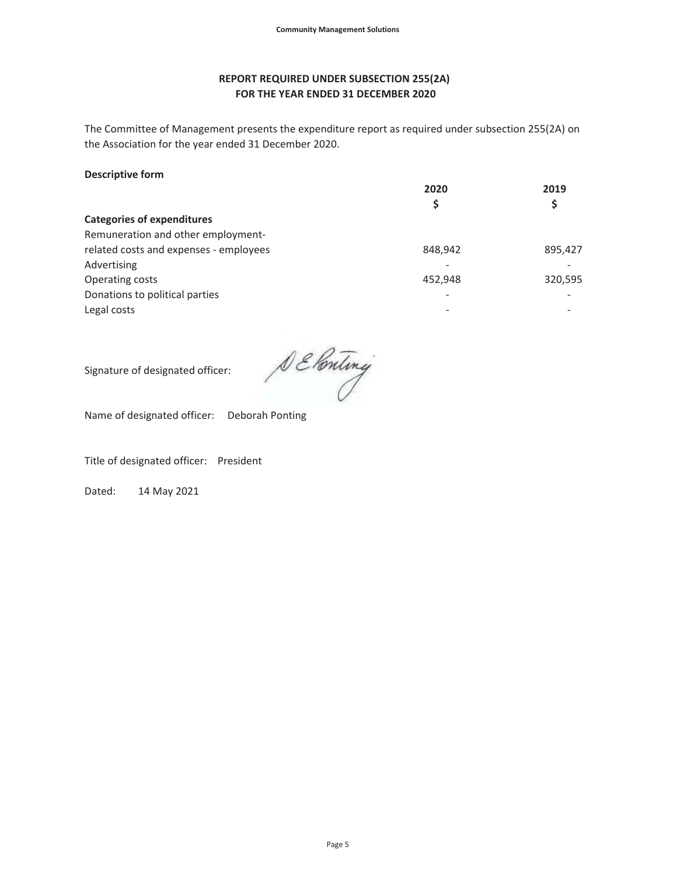# **REPORT REQUIRED UNDER SUBSECTION 255(2A) FOR THE YEAR ENDED 31 DECEMBER 2020**

The Committee of Management presents the expenditure report as required under subsection 255(2A) on the Association for the year ended 31 December 2020.

# **Descriptive form**

| 2020    | 2019    |  |
|---------|---------|--|
| Ş       |         |  |
|         |         |  |
|         |         |  |
| 848,942 | 895,427 |  |
|         |         |  |
| 452,948 | 320,595 |  |
| ۰       | -       |  |
|         |         |  |
|         |         |  |

Signature of designated officer:

DE Ponting

Name of designated officer: Deborah Ponting

Title of designated officer: President

Dated: 14 May 2021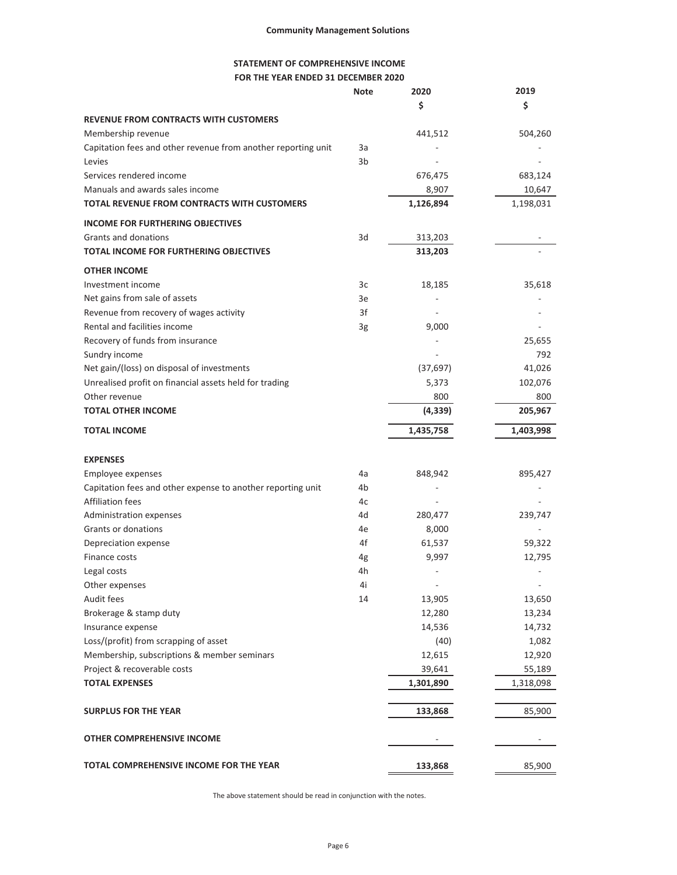# **STATEMENT OF COMPREHENSIVE INCOME FOR THE YEAR ENDED 31 DECEMBER 2020**

|                                                               | <b>Note</b>    | 2020      | 2019      |
|---------------------------------------------------------------|----------------|-----------|-----------|
|                                                               |                | \$        | \$        |
| <b>REVENUE FROM CONTRACTS WITH CUSTOMERS</b>                  |                |           |           |
| Membership revenue                                            |                | 441,512   | 504,260   |
| Capitation fees and other revenue from another reporting unit | 3a             |           |           |
| Levies                                                        | 3 <sub>b</sub> |           |           |
| Services rendered income                                      |                | 676,475   | 683,124   |
| Manuals and awards sales income                               |                | 8,907     | 10,647    |
| <b>TOTAL REVENUE FROM CONTRACTS WITH CUSTOMERS</b>            |                | 1,126,894 | 1,198,031 |
| <b>INCOME FOR FURTHERING OBJECTIVES</b>                       |                |           |           |
| Grants and donations                                          | 3d             | 313,203   |           |
| <b>TOTAL INCOME FOR FURTHERING OBJECTIVES</b>                 |                | 313,203   |           |
| <b>OTHER INCOME</b>                                           |                |           |           |
| Investment income                                             | 3c             | 18,185    | 35,618    |
| Net gains from sale of assets                                 | 3e             |           |           |
| Revenue from recovery of wages activity                       | 3f             |           |           |
| Rental and facilities income                                  | 3g             | 9,000     |           |
| Recovery of funds from insurance                              |                |           | 25,655    |
| Sundry income                                                 |                |           | 792       |
| Net gain/(loss) on disposal of investments                    |                | (37, 697) | 41,026    |
| Unrealised profit on financial assets held for trading        |                | 5,373     | 102,076   |
| Other revenue                                                 |                | 800       | 800       |
| <b>TOTAL OTHER INCOME</b>                                     |                | (4, 339)  | 205,967   |
| <b>TOTAL INCOME</b>                                           |                | 1,435,758 | 1,403,998 |
| <b>EXPENSES</b>                                               |                |           |           |
| Employee expenses                                             | 4a             | 848,942   | 895,427   |
| Capitation fees and other expense to another reporting unit   | 4b             |           |           |
| <b>Affiliation fees</b>                                       | 4c             |           |           |
| Administration expenses                                       | 4d             | 280,477   | 239,747   |
| Grants or donations                                           | 4e             | 8,000     |           |
| Depreciation expense                                          | 4f             | 61,537    | 59,322    |
| Finance costs                                                 | 4g             | 9,997     | 12,795    |
| Legal costs                                                   | 4h             |           |           |
| Other expenses                                                | 4i             |           |           |
| Audit fees                                                    | 14             | 13,905    | 13,650    |
| Brokerage & stamp duty                                        |                | 12,280    | 13,234    |
| Insurance expense                                             |                | 14,536    | 14,732    |
| Loss/(profit) from scrapping of asset                         |                | (40)      | 1,082     |
| Membership, subscriptions & member seminars                   |                | 12,615    | 12,920    |
| Project & recoverable costs                                   |                | 39,641    | 55,189    |
| <b>TOTAL EXPENSES</b>                                         |                | 1,301,890 | 1,318,098 |
| <b>SURPLUS FOR THE YEAR</b>                                   |                | 133,868   | 85,900    |
| <b>OTHER COMPREHENSIVE INCOME</b>                             |                |           |           |
| TOTAL COMPREHENSIVE INCOME FOR THE YEAR                       |                | 133,868   | 85,900    |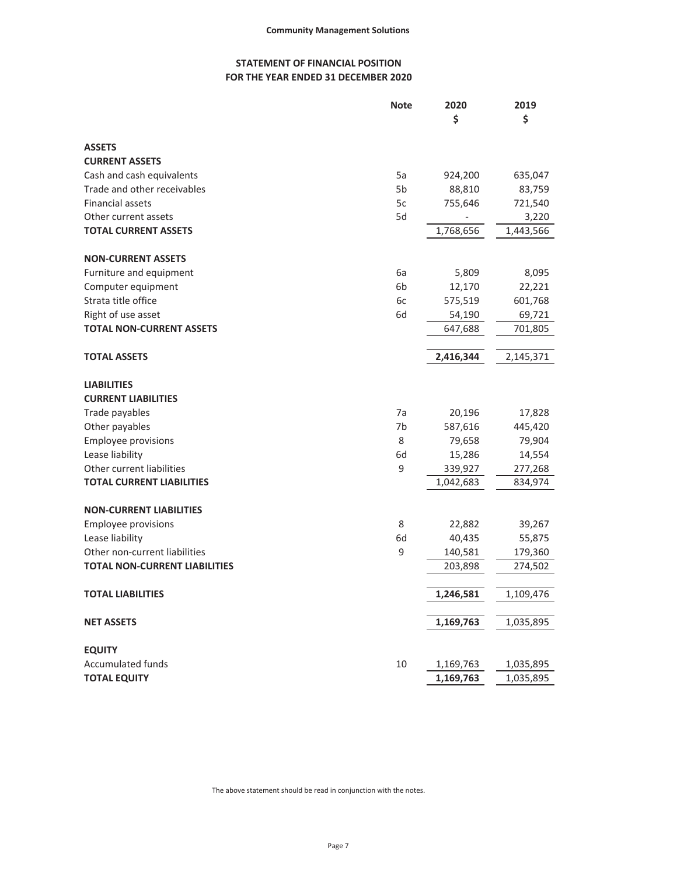# **STATEMENT OF FINANCIAL POSITION FOR THE YEAR ENDED 31 DECEMBER 2020**

|                                      | <b>Note</b>    | 2020<br>\$ | 2019<br>\$ |
|--------------------------------------|----------------|------------|------------|
| <b>ASSETS</b>                        |                |            |            |
| <b>CURRENT ASSETS</b>                |                |            |            |
| Cash and cash equivalents            | 5a             | 924,200    | 635,047    |
| Trade and other receivables          | 5b             | 88,810     | 83,759     |
| Financial assets                     | 5c             | 755,646    | 721,540    |
| Other current assets                 | 5d             |            | 3,220      |
| <b>TOTAL CURRENT ASSETS</b>          |                | 1,768,656  | 1,443,566  |
| <b>NON-CURRENT ASSETS</b>            |                |            |            |
| Furniture and equipment              | 6a             | 5,809      | 8,095      |
| Computer equipment                   | 6 <sub>b</sub> | 12,170     | 22,221     |
| Strata title office                  | 6c             | 575,519    | 601,768    |
| Right of use asset                   | 6d             | 54,190     | 69,721     |
| <b>TOTAL NON-CURRENT ASSETS</b>      |                | 647,688    | 701,805    |
| <b>TOTAL ASSETS</b>                  |                | 2,416,344  | 2,145,371  |
| <b>LIABILITIES</b>                   |                |            |            |
| <b>CURRENT LIABILITIES</b>           |                |            |            |
| Trade payables                       | 7a             | 20,196     | 17,828     |
| Other payables                       | 7b             | 587,616    | 445,420    |
| <b>Employee provisions</b>           | 8              | 79,658     | 79,904     |
| Lease liability                      | 6d             | 15,286     | 14,554     |
| Other current liabilities            | 9              | 339,927    | 277,268    |
| <b>TOTAL CURRENT LIABILITIES</b>     |                | 1,042,683  | 834,974    |
| <b>NON-CURRENT LIABILITIES</b>       |                |            |            |
| <b>Employee provisions</b>           | 8              | 22,882     | 39,267     |
| Lease liability                      | 6d             | 40,435     | 55,875     |
| Other non-current liabilities        | 9              | 140,581    | 179,360    |
| <b>TOTAL NON-CURRENT LIABILITIES</b> |                | 203,898    | 274,502    |
| <b>TOTAL LIABILITIES</b>             |                | 1,246,581  | 1,109,476  |
| <b>NET ASSETS</b>                    |                | 1,169,763  | 1,035,895  |
| <b>EQUITY</b>                        |                |            |            |
| Accumulated funds                    | 10             | 1,169,763  | 1,035,895  |
| <b>TOTAL EQUITY</b>                  |                | 1,169,763  | 1,035,895  |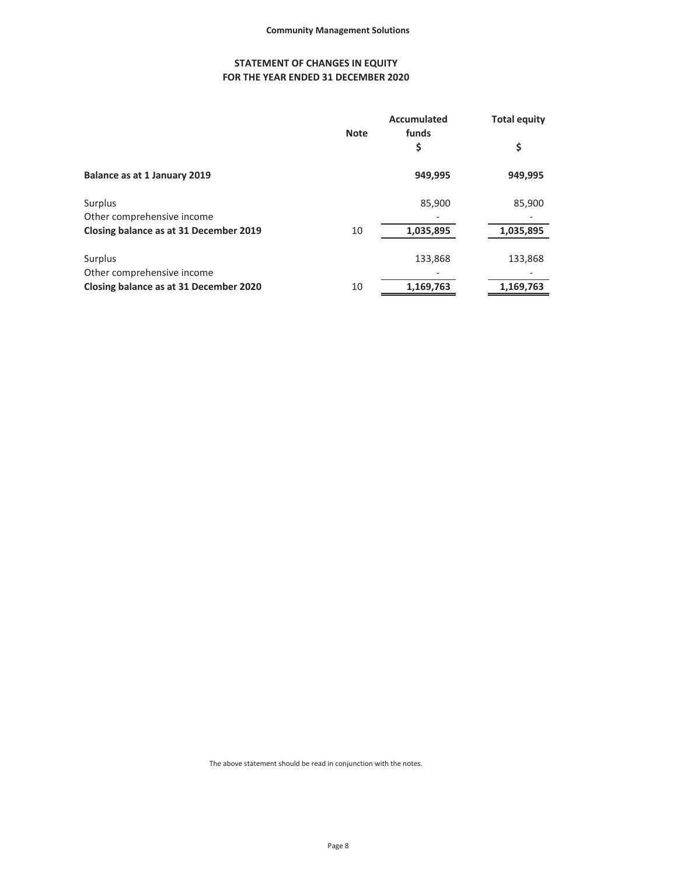# **STATEMENT OF CHANGES IN EQUITY FOR THE YEAR ENDED 31 DECEMBER 2020**

|                                        |    | <b>Accumulated</b><br>funds<br><b>Note</b> |           | <b>Total equity</b> |  |
|----------------------------------------|----|--------------------------------------------|-----------|---------------------|--|
|                                        |    | \$                                         | \$        |                     |  |
| Balance as at 1 January 2019           |    | 949,995                                    | 949,995   |                     |  |
| Surplus                                |    | 85,900                                     | 85,900    |                     |  |
| Other comprehensive income             |    |                                            |           |                     |  |
| Closing balance as at 31 December 2019 | 10 | 1,035,895                                  | 1,035,895 |                     |  |
| Surplus                                |    | 133,868                                    | 133,868   |                     |  |
| Other comprehensive income             |    |                                            |           |                     |  |
| Closing balance as at 31 December 2020 | 10 | 1,169,763                                  | 1,169,763 |                     |  |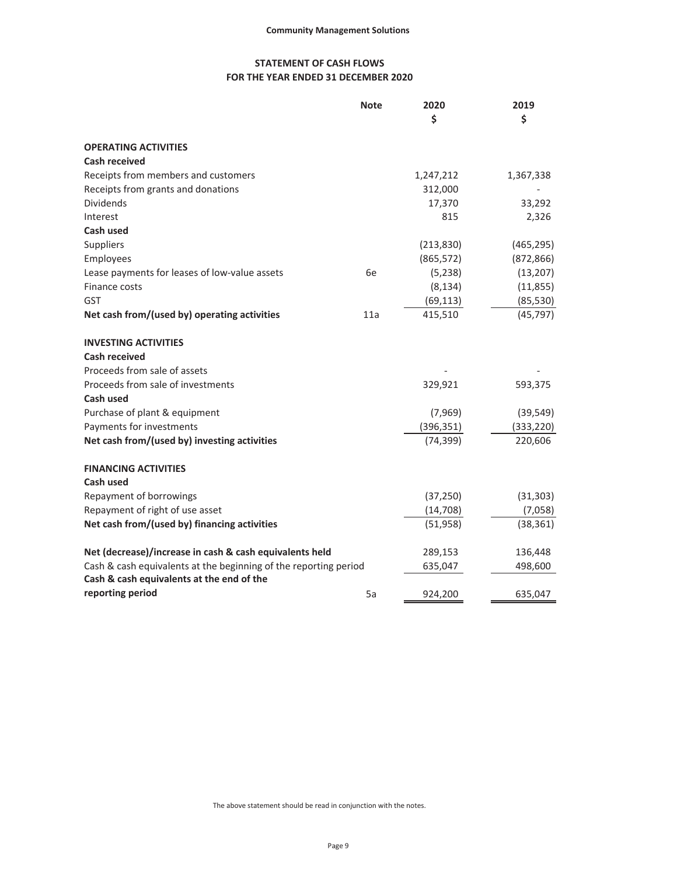# **STATEMENT OF CASH FLOWS FOR THE YEAR ENDED 31 DECEMBER 2020**

|                                                                  | <b>Note</b> | 2020       | 2019       |
|------------------------------------------------------------------|-------------|------------|------------|
|                                                                  |             | \$         | \$         |
| <b>OPERATING ACTIVITIES</b>                                      |             |            |            |
| <b>Cash received</b>                                             |             |            |            |
| Receipts from members and customers                              |             | 1,247,212  | 1,367,338  |
| Receipts from grants and donations                               |             | 312,000    |            |
| <b>Dividends</b>                                                 |             | 17,370     | 33,292     |
| Interest                                                         |             | 815        | 2,326      |
| Cash used                                                        |             |            |            |
| Suppliers                                                        |             | (213, 830) | (465, 295) |
| Employees                                                        |             | (865, 572) | (872, 866) |
| Lease payments for leases of low-value assets                    | 6e          | (5,238)    | (13,207)   |
| Finance costs                                                    |             | (8, 134)   | (11, 855)  |
| <b>GST</b>                                                       |             | (69, 113)  | (85, 530)  |
| Net cash from/(used by) operating activities                     | 11a         | 415,510    | (45, 797)  |
| <b>INVESTING ACTIVITIES</b>                                      |             |            |            |
| <b>Cash received</b>                                             |             |            |            |
| Proceeds from sale of assets                                     |             |            |            |
| Proceeds from sale of investments                                |             | 329,921    | 593,375    |
| Cash used                                                        |             |            |            |
| Purchase of plant & equipment                                    |             | (7,969)    | (39, 549)  |
| Payments for investments                                         |             | (396, 351) | (333, 220) |
| Net cash from/(used by) investing activities                     |             | (74, 399)  | 220,606    |
| <b>FINANCING ACTIVITIES</b>                                      |             |            |            |
| Cash used                                                        |             |            |            |
| Repayment of borrowings                                          |             | (37, 250)  | (31, 303)  |
| Repayment of right of use asset                                  |             | (14, 708)  | (7,058)    |
| Net cash from/(used by) financing activities                     |             | (51, 958)  | (38, 361)  |
| Net (decrease)/increase in cash & cash equivalents held          |             | 289,153    | 136,448    |
| Cash & cash equivalents at the beginning of the reporting period |             | 635,047    | 498,600    |
| Cash & cash equivalents at the end of the                        |             |            |            |
| reporting period                                                 | 5a          | 924,200    | 635,047    |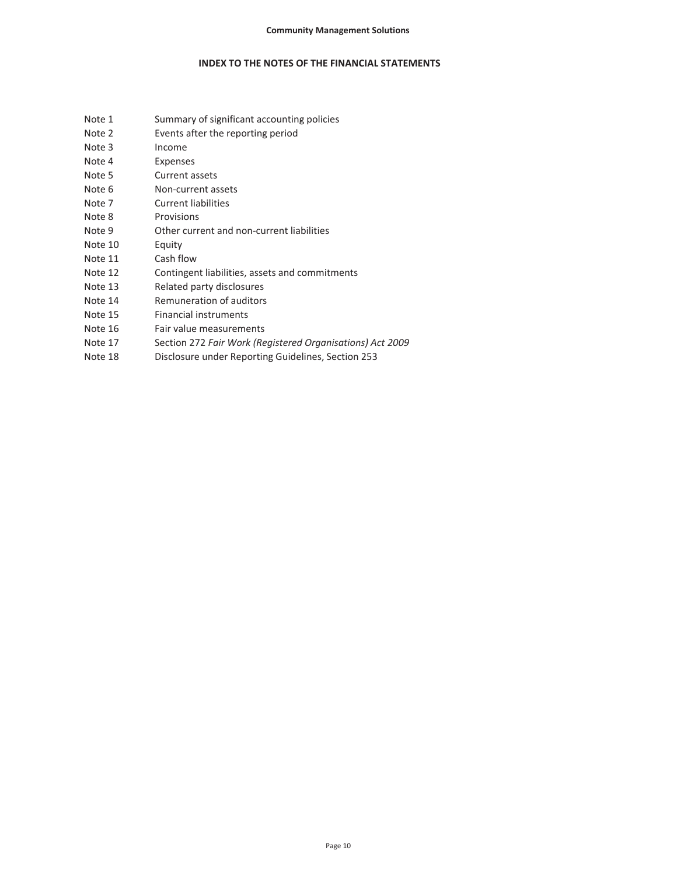## **INDEX TO THE NOTES OF THE FINANCIAL STATEMENTS**

- Note 1 Summary of significant accounting policies
- Note 2 Events after the reporting period
- Note 3 Income
- Note 4 Expenses
- Note 5 Current assets
- Note 6 Non-current assets
- Note 7 Current liabilities
- Note 8 Provisions
- Note 9 Other current and non-current liabilities
- Note 10 Equity
- Note 11 Cash flow
- Note 12 Contingent liabilities, assets and commitments
- Note 13 Related party disclosures
- Note 14 Remuneration of auditors
- Note 15 Financial instruments
- Note 16 Fair value measurements
- Note 17 Section 272 *Fair Work (Registered Organisations) Act 2009*
- Note 18 Disclosure under Reporting Guidelines, Section 253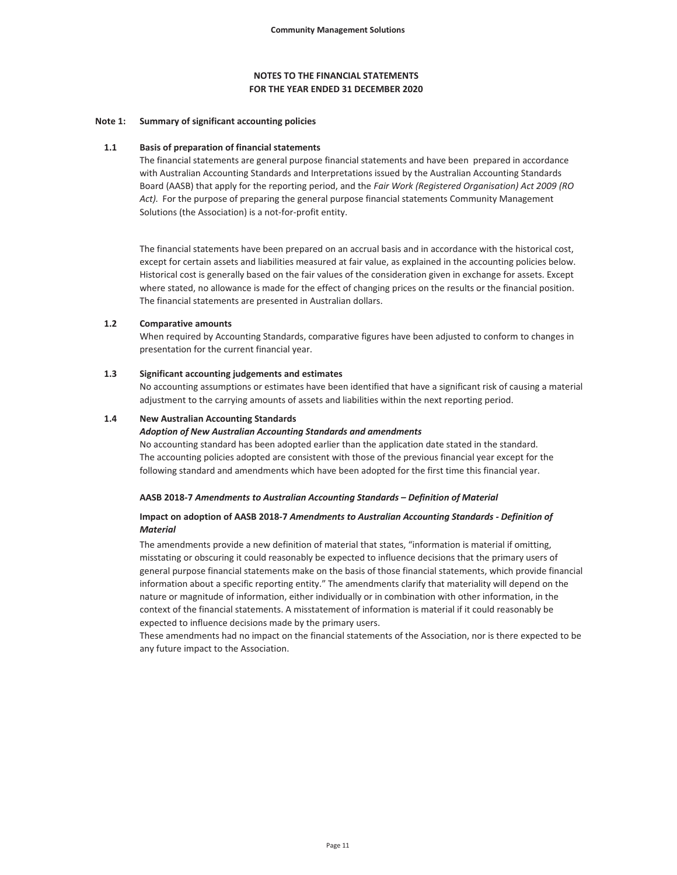#### **Note 1: Summary of significant accounting policies**

#### **1.1 Basis of preparation of financial statements**

The financial statements are general purpose financial statements and have been prepared in accordance with Australian Accounting Standards and Interpretations issued by the Australian Accounting Standards Board (AASB) that apply for the reporting period, and the *Fair Work (Registered Organisation) Act 2009 (RO Act).* For the purpose of preparing the general purpose financial statements Community Management Solutions (the Association) is a not-for-profit entity.

The financial statements have been prepared on an accrual basis and in accordance with the historical cost, except for certain assets and liabilities measured at fair value, as explained in the accounting policies below. Historical cost is generally based on the fair values of the consideration given in exchange for assets. Except where stated, no allowance is made for the effect of changing prices on the results or the financial position. The financial statements are presented in Australian dollars.

#### **1.2 Comparative amounts**

When required by Accounting Standards, comparative figures have been adjusted to conform to changes in presentation for the current financial year.

#### **1.3 Significant accounting judgements and estimates**

No accounting assumptions or estimates have been identified that have a significant risk of causing a material adjustment to the carrying amounts of assets and liabilities within the next reporting period.

#### **1.4 New Australian Accounting Standards**

#### *Adoption of New Australian Accounting Standards and amendments*

No accounting standard has been adopted earlier than the application date stated in the standard. The accounting policies adopted are consistent with those of the previous financial year except for the following standard and amendments which have been adopted for the first time this financial year.

#### **AASB 2018-7** *Amendments to Australian Accounting Standards – Definition of Material*

#### **Impact on adoption of AASB 2018-7** *Amendments to Australian Accounting Standards - Definition of Material*

The amendments provide a new definition of material that states, "information is material if omitting, misstating or obscuring it could reasonably be expected to influence decisions that the primary users of general purpose financial statements make on the basis of those financial statements, which provide financial information about a specific reporting entity." The amendments clarify that materiality will depend on the nature or magnitude of information, either individually or in combination with other information, in the context of the financial statements. A misstatement of information is material if it could reasonably be expected to influence decisions made by the primary users.

These amendments had no impact on the financial statements of the Association, nor is there expected to be any future impact to the Association.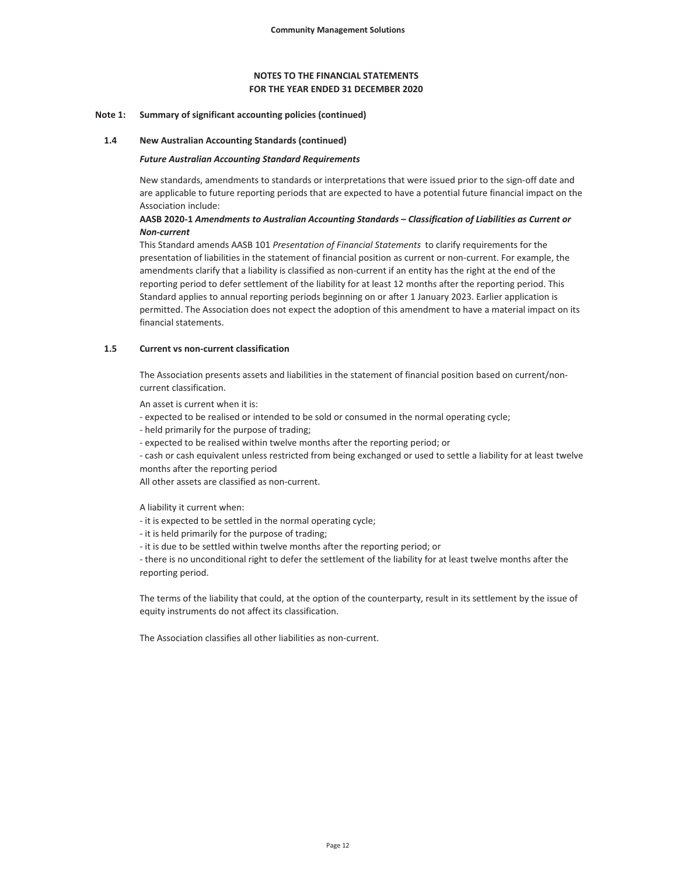### **FOR THE YEAR ENDED 31 DECEMBER 2020 NOTES TO THE FINANCIAL STATEMENTS**

#### **Note 1: Summary of significant accounting policies (continued)**

#### **1.4 New Australian Accounting Standards (continued)**

#### *Future Australian Accounting Standard Requirements*

New standards, amendments to standards or interpretations that were issued prior to the sign-off date and are applicable to future reporting periods that are expected to have a potential future financial impact on the Association include:

## **AASB 2020-1** *Amendments to Australian Accounting Standards – Classification of Liabilities as Current or Non-current*

This Standard amends AASB 101 *Presentation of Financial Statements* to clarify requirements for the presentation of liabilities in the statement of financial position as current or non-current. For example, the amendments clarify that a liability is classified as non-current if an entity has the right at the end of the reporting period to defer settlement of the liability for at least 12 months after the reporting period. This Standard applies to annual reporting periods beginning on or after 1 January 2023. Earlier application is permitted. The Association does not expect the adoption of this amendment to have a material impact on its financial statements.

#### **1.5 Current vs non-current classification**

The Association presents assets and liabilities in the statement of financial position based on current/noncurrent classification.

An asset is current when it is:

- expected to be realised or intended to be sold or consumed in the normal operating cycle;
- held primarily for the purpose of trading;
- expected to be realised within twelve months after the reporting period; or

- cash or cash equivalent unless restricted from being exchanged or used to settle a liability for at least twelve months after the reporting period

All other assets are classified as non-current.

A liability it current when:

- it is expected to be settled in the normal operating cycle;
- it is held primarily for the purpose of trading;
- it is due to be settled within twelve months after the reporting period; or

- there is no unconditional right to defer the settlement of the liability for at least twelve months after the reporting period.

The terms of the liability that could, at the option of the counterparty, result in its settlement by the issue of equity instruments do not affect its classification.

The Association classifies all other liabilities as non-current.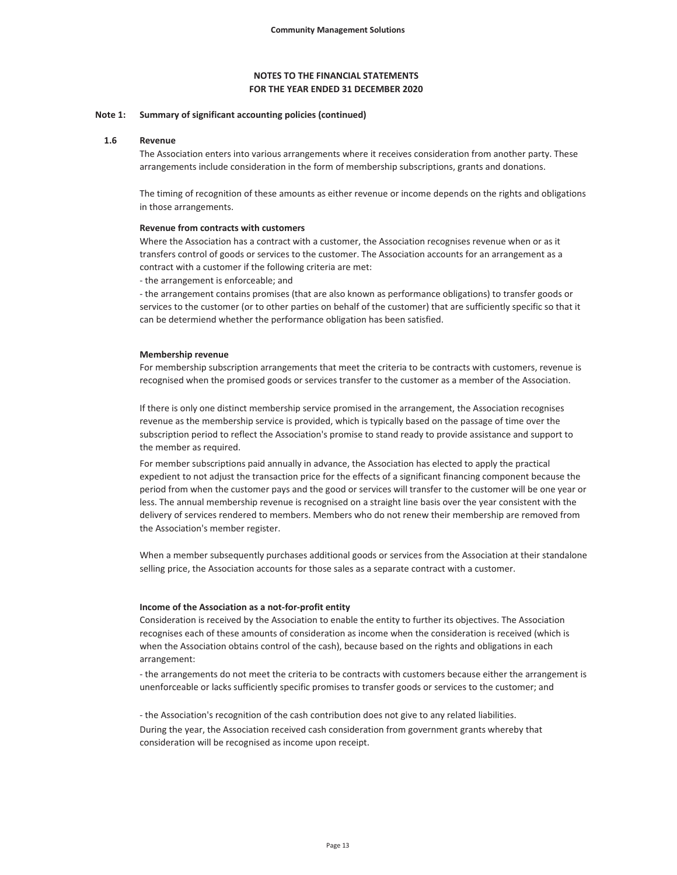# **FOR THE YEAR ENDED 31 DECEMBER 2020 NOTES TO THE FINANCIAL STATEMENTS**

#### **Note 1: Summary of significant accounting policies (continued)**

#### **1.6 Revenue**

The Association enters into various arrangements where it receives consideration from another party. These arrangements include consideration in the form of membership subscriptions, grants and donations.

The timing of recognition of these amounts as either revenue or income depends on the rights and obligations in those arrangements.

#### **Revenue from contracts with customers**

Where the Association has a contract with a customer, the Association recognises revenue when or as it transfers control of goods or services to the customer. The Association accounts for an arrangement as a contract with a customer if the following criteria are met:

- the arrangement is enforceable; and

- the arrangement contains promises (that are also known as performance obligations) to transfer goods or services to the customer (or to other parties on behalf of the customer) that are sufficiently specific so that it can be determiend whether the performance obligation has been satisfied.

#### **Membership revenue**

For membership subscription arrangements that meet the criteria to be contracts with customers, revenue is recognised when the promised goods or services transfer to the customer as a member of the Association.

If there is only one distinct membership service promised in the arrangement, the Association recognises revenue as the membership service is provided, which is typically based on the passage of time over the subscription period to reflect the Association's promise to stand ready to provide assistance and support to the member as required.

For member subscriptions paid annually in advance, the Association has elected to apply the practical expedient to not adjust the transaction price for the effects of a significant financing component because the period from when the customer pays and the good or services will transfer to the customer will be one year or less. The annual membership revenue is recognised on a straight line basis over the year consistent with the delivery of services rendered to members. Members who do not renew their membership are removed from the Association's member register.

When a member subsequently purchases additional goods or services from the Association at their standalone selling price, the Association accounts for those sales as a separate contract with a customer.

#### **Income of the Association as a not-for-profit entity**

Consideration is received by the Association to enable the entity to further its objectives. The Association recognises each of these amounts of consideration as income when the consideration is received (which is when the Association obtains control of the cash), because based on the rights and obligations in each arrangement:

- the arrangements do not meet the criteria to be contracts with customers because either the arrangement is unenforceable or lacks sufficiently specific promises to transfer goods or services to the customer; and

- the Association's recognition of the cash contribution does not give to any related liabilities.

During the year, the Association received cash consideration from government grants whereby that consideration will be recognised as income upon receipt.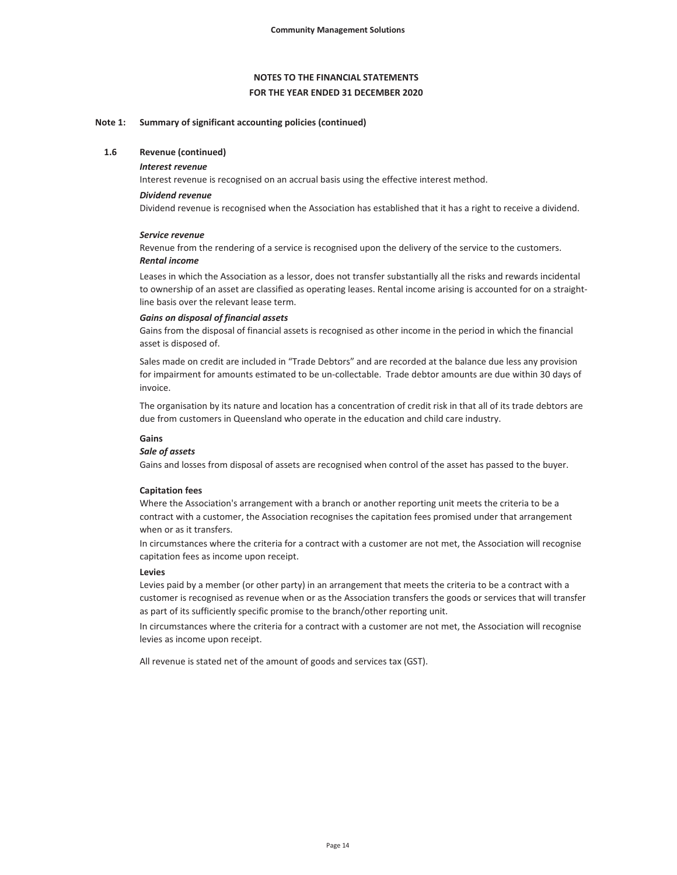#### **Note 1: Summary of significant accounting policies (continued)**

#### **1.6 Revenue (continued)**

#### *Interest revenue*

Interest revenue is recognised on an accrual basis using the effective interest method.

#### *Dividend revenue*

Dividend revenue is recognised when the Association has established that it has a right to receive a dividend.

#### *Service revenue*

*Rental income* Revenue from the rendering of a service is recognised upon the delivery of the service to the customers.

Leases in which the Association as a lessor, does not transfer substantially all the risks and rewards incidental to ownership of an asset are classified as operating leases. Rental income arising is accounted for on a straightline basis over the relevant lease term.

#### *Gains on disposal of financial assets*

Gains from the disposal of financial assets is recognised as other income in the period in which the financial asset is disposed of.

Sales made on credit are included in "Trade Debtors" and are recorded at the balance due less any provision for impairment for amounts estimated to be un-collectable. Trade debtor amounts are due within 30 days of invoice.

The organisation by its nature and location has a concentration of credit risk in that all of its trade debtors are due from customers in Queensland who operate in the education and child care industry.

# **Gains**

#### *Sale of assets*

Gains and losses from disposal of assets are recognised when control of the asset has passed to the buyer.

#### **Capitation fees**

Where the Association's arrangement with a branch or another reporting unit meets the criteria to be a contract with a customer, the Association recognises the capitation fees promised under that arrangement when or as it transfers.

In circumstances where the criteria for a contract with a customer are not met, the Association will recognise capitation fees as income upon receipt.

#### **Levies**

Levies paid by a member (or other party) in an arrangement that meets the criteria to be a contract with a customer is recognised as revenue when or as the Association transfers the goods or services that will transfer as part of its sufficiently specific promise to the branch/other reporting unit.

In circumstances where the criteria for a contract with a customer are not met, the Association will recognise levies as income upon receipt.

All revenue is stated net of the amount of goods and services tax (GST).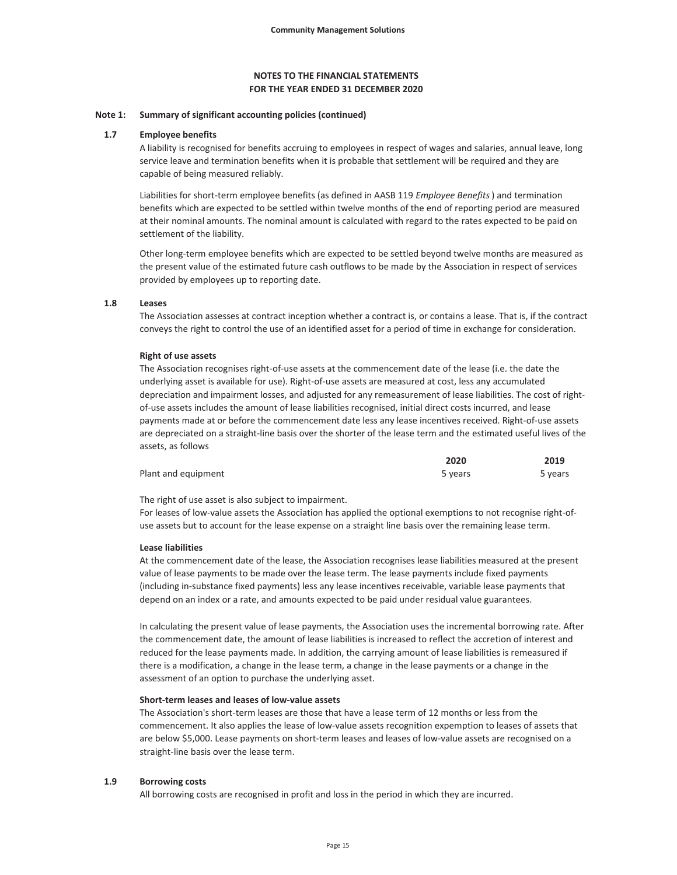#### **FOR THE YEAR ENDED 31 DECEMBER 2020 NOTES TO THE FINANCIAL STATEMENTS**

#### **Note 1: Summary of significant accounting policies (continued)**

#### **1.7 Employee benefits**

A liability is recognised for benefits accruing to employees in respect of wages and salaries, annual leave, long service leave and termination benefits when it is probable that settlement will be required and they are capable of being measured reliably.

Liabilities for short-term employee benefits (as defined in AASB 119 *Employee Benefits*) and termination benefits which are expected to be settled within twelve months of the end of reporting period are measured at their nominal amounts. The nominal amount is calculated with regard to the rates expected to be paid on settlement of the liability.

Other long-term employee benefits which are expected to be settled beyond twelve months are measured as the present value of the estimated future cash outflows to be made by the Association in respect of services provided by employees up to reporting date.

#### **1.8 Leases**

The Association assesses at contract inception whether a contract is, or contains a lease. That is, if the contract conveys the right to control the use of an identified asset for a period of time in exchange for consideration.

#### **Right of use assets**

The Association recognises right-of-use assets at the commencement date of the lease (i.e. the date the underlying asset is available for use). Right-of-use assets are measured at cost, less any accumulated depreciation and impairment losses, and adjusted for any remeasurement of lease liabilities. The cost of rightof-use assets includes the amount of lease liabilities recognised, initial direct costs incurred, and lease payments made at or before the commencement date less any lease incentives received. Right-of-use assets are depreciated on a straight-line basis over the shorter of the lease term and the estimated useful lives of the assets, as follows

|                     | 2020    | 2019    |
|---------------------|---------|---------|
| Plant and equipment | 5 years | 5 years |

The right of use asset is also subject to impairment.

For leases of low-value assets the Association has applied the optional exemptions to not recognise right-ofuse assets but to account for the lease expense on a straight line basis over the remaining lease term.

#### **Lease liabilities**

At the commencement date of the lease, the Association recognises lease liabilities measured at the present value of lease payments to be made over the lease term. The lease payments include fixed payments (including in-substance fixed payments) less any lease incentives receivable, variable lease payments that depend on an index or a rate, and amounts expected to be paid under residual value guarantees.

In calculating the present value of lease payments, the Association uses the incremental borrowing rate. After the commencement date, the amount of lease liabilities is increased to reflect the accretion of interest and reduced for the lease payments made. In addition, the carrying amount of lease liabilities is remeasured if there is a modification, a change in the lease term, a change in the lease payments or a change in the assessment of an option to purchase the underlying asset.

#### **Short-term leases and leases of low-value assets**

The Association's short-term leases are those that have a lease term of 12 months or less from the commencement. It also applies the lease of low-value assets recognition expemption to leases of assets that are below \$5,000. Lease payments on short-term leases and leases of low-value assets are recognised on a straight-line basis over the lease term.

#### **1.9 Borrowing costs**

All borrowing costs are recognised in profit and loss in the period in which they are incurred.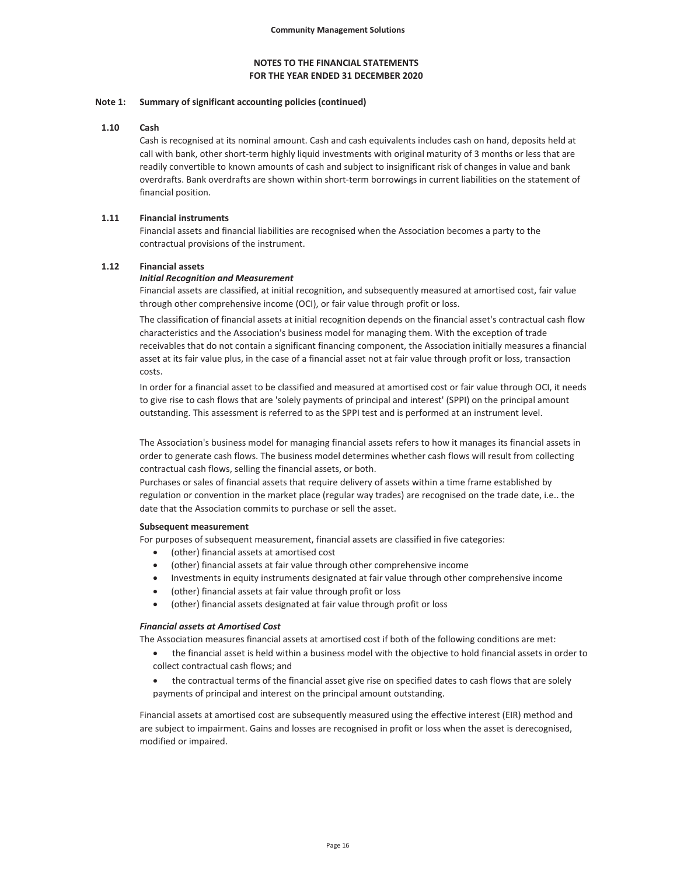#### **Note 1: Summary of significant accounting policies (continued)**

#### **1.10 Cash**

Cash is recognised at its nominal amount. Cash and cash equivalents includes cash on hand, deposits held at call with bank, other short-term highly liquid investments with original maturity of 3 months or less that are readily convertible to known amounts of cash and subject to insignificant risk of changes in value and bank overdrafts. Bank overdrafts are shown within short-term borrowings in current liabilities on the statement of financial position.

### **1.11 Financial instruments**

Financial assets and financial liabilities are recognised when the Association becomes a party to the contractual provisions of the instrument.

#### **1.12 Financial assets**

#### *Initial Recognition and Measurement*

Financial assets are classified, at initial recognition, and subsequently measured at amortised cost, fair value through other comprehensive income (OCI), or fair value through profit or loss.

The classification of financial assets at initial recognition depends on the financial asset's contractual cash flow characteristics and the Association's business model for managing them. With the exception of trade receivables that do not contain a significant financing component, the Association initially measures a financial asset at its fair value plus, in the case of a financial asset not at fair value through profit or loss, transaction costs.

In order for a financial asset to be classified and measured at amortised cost or fair value through OCI, it needs to give rise to cash flows that are 'solely payments of principal and interest' (SPPI) on the principal amount outstanding. This assessment is referred to as the SPPI test and is performed at an instrument level.

The Association's business model for managing financial assets refers to how it manages its financial assets in order to generate cash flows. The business model determines whether cash flows will result from collecting contractual cash flows, selling the financial assets, or both.

Purchases or sales of financial assets that require delivery of assets within a time frame established by regulation or convention in the market place (regular way trades) are recognised on the trade date, i.e.. the date that the Association commits to purchase or sell the asset.

#### **Subsequent measurement**

For purposes of subsequent measurement, financial assets are classified in five categories:

- (other) financial assets at amortised cost
- (other) financial assets at fair value through other comprehensive income
- Investments in equity instruments designated at fair value through other comprehensive income
- (other) financial assets at fair value through profit or loss
- (other) financial assets designated at fair value through profit or loss

#### *Financial assets at Amortised Cost*

The Association measures financial assets at amortised cost if both of the following conditions are met:

- the financial asset is held within a business model with the objective to hold financial assets in order to collect contractual cash flows; and
- the contractual terms of the financial asset give rise on specified dates to cash flows that are solely payments of principal and interest on the principal amount outstanding.

Financial assets at amortised cost are subsequently measured using the effective interest (EIR) method and are subject to impairment. Gains and losses are recognised in profit or loss when the asset is derecognised, modified or impaired.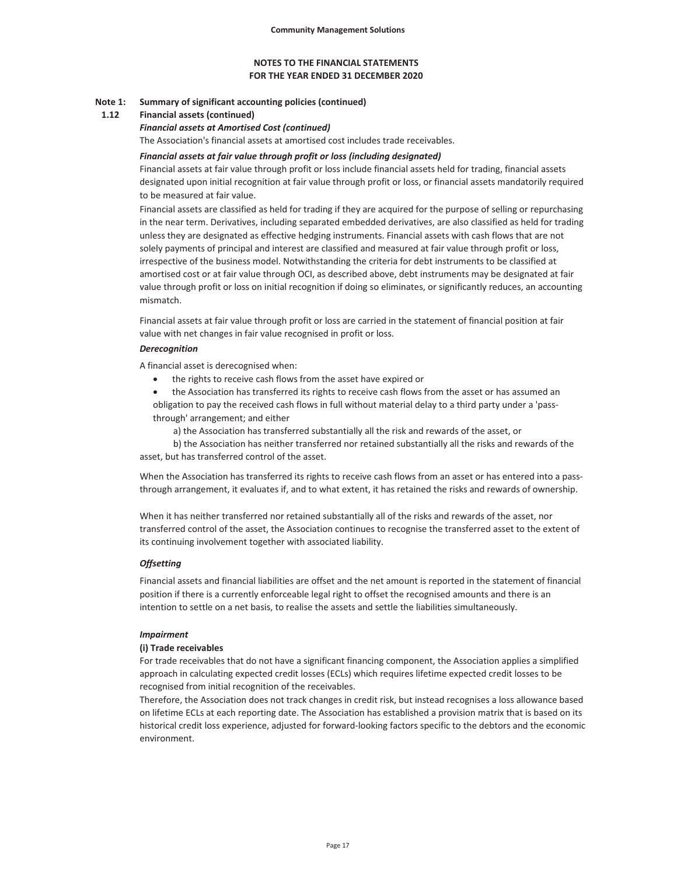#### **Note 1: Summary of significant accounting policies (continued)**

#### **1.12 Financial assets (continued)**

#### *Financial assets at Amortised Cost (continued)*

The Association's financial assets at amortised cost includes trade receivables.

#### *Financial assets at fair value through profit or loss (including designated)*

Financial assets at fair value through profit or loss include financial assets held for trading, financial assets designated upon initial recognition at fair value through profit or loss, or financial assets mandatorily required to be measured at fair value.

Financial assets are classified as held for trading if they are acquired for the purpose of selling or repurchasing in the near term. Derivatives, including separated embedded derivatives, are also classified as held for trading unless they are designated as effective hedging instruments. Financial assets with cash flows that are not solely payments of principal and interest are classified and measured at fair value through profit or loss, irrespective of the business model. Notwithstanding the criteria for debt instruments to be classified at amortised cost or at fair value through OCI, as described above, debt instruments may be designated at fair value through profit or loss on initial recognition if doing so eliminates, or significantly reduces, an accounting mismatch.

Financial assets at fair value through profit or loss are carried in the statement of financial position at fair value with net changes in fair value recognised in profit or loss.

#### *Derecognition*

A financial asset is derecognised when:

- the rights to receive cash flows from the asset have expired or
- the Association has transferred its rights to receive cash flows from the asset or has assumed an obligation to pay the received cash flows in full without material delay to a third party under a 'passthrough' arrangement; and either
	- a) the Association has transferred substantially all the risk and rewards of the asset, or

 b) the Association has neither transferred nor retained substantially all the risks and rewards of the asset, but has transferred control of the asset.

When the Association has transferred its rights to receive cash flows from an asset or has entered into a passthrough arrangement, it evaluates if, and to what extent, it has retained the risks and rewards of ownership.

When it has neither transferred nor retained substantially all of the risks and rewards of the asset, nor transferred control of the asset, the Association continues to recognise the transferred asset to the extent of its continuing involvement together with associated liability.

#### *Offsetting*

Financial assets and financial liabilities are offset and the net amount is reported in the statement of financial position if there is a currently enforceable legal right to offset the recognised amounts and there is an intention to settle on a net basis, to realise the assets and settle the liabilities simultaneously.

#### *Impairment*

#### **(i) Trade receivables**

For trade receivables that do not have a significant financing component, the Association applies a simplified approach in calculating expected credit losses (ECLs) which requires lifetime expected credit losses to be recognised from initial recognition of the receivables.

Therefore, the Association does not track changes in credit risk, but instead recognises a loss allowance based on lifetime ECLs at each reporting date. The Association has established a provision matrix that is based on its historical credit loss experience, adjusted for forward-looking factors specific to the debtors and the economic environment.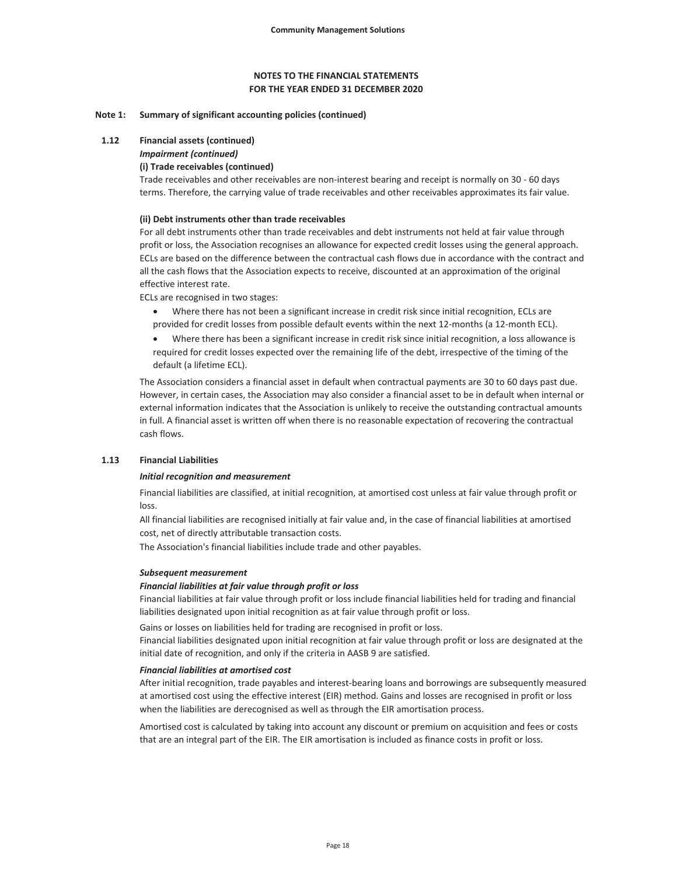#### **Note 1: Summary of significant accounting policies (continued)**

#### **1.12 Financial assets (continued)**

# *Impairment (continued)*

# **(i) Trade receivables (continued)**

Trade receivables and other receivables are non-interest bearing and receipt is normally on 30 - 60 days terms. Therefore, the carrying value of trade receivables and other receivables approximates its fair value.

## **(ii) Debt instruments other than trade receivables**

For all debt instruments other than trade receivables and debt instruments not held at fair value through profit or loss, the Association recognises an allowance for expected credit losses using the general approach. ECLs are based on the difference between the contractual cash flows due in accordance with the contract and all the cash flows that the Association expects to receive, discounted at an approximation of the original effective interest rate.

ECLs are recognised in two stages:

- x Where there has not been a significant increase in credit risk since initial recognition, ECLs are provided for credit losses from possible default events within the next 12-months (a 12-month ECL).
- Where there has been a significant increase in credit risk since initial recognition, a loss allowance is required for credit losses expected over the remaining life of the debt, irrespective of the timing of the default (a lifetime ECL).

The Association considers a financial asset in default when contractual payments are 30 to 60 days past due. However, in certain cases, the Association may also consider a financial asset to be in default when internal or external information indicates that the Association is unlikely to receive the outstanding contractual amounts in full. A financial asset is written off when there is no reasonable expectation of recovering the contractual cash flows.

#### **1.13 Financial Liabilities**

#### *Initial recognition and measurement*

Financial liabilities are classified, at initial recognition, at amortised cost unless at fair value through profit or loss.

All financial liabilities are recognised initially at fair value and, in the case of financial liabilities at amortised cost, net of directly attributable transaction costs.

The Association's financial liabilities include trade and other payables.

#### *Subsequent measurement*

#### *Financial liabilities at fair value through profit or loss*

Financial liabilities at fair value through profit or loss include financial liabilities held for trading and financial liabilities designated upon initial recognition as at fair value through profit or loss.

Gains or losses on liabilities held for trading are recognised in profit or loss.

Financial liabilities designated upon initial recognition at fair value through profit or loss are designated at the initial date of recognition, and only if the criteria in AASB 9 are satisfied.

#### *Financial liabilities at amortised cost*

After initial recognition, trade payables and interest-bearing loans and borrowings are subsequently measured at amortised cost using the effective interest (EIR) method. Gains and losses are recognised in profit or loss when the liabilities are derecognised as well as through the EIR amortisation process.

Amortised cost is calculated by taking into account any discount or premium on acquisition and fees or costs that are an integral part of the EIR. The EIR amortisation is included as finance costs in profit or loss.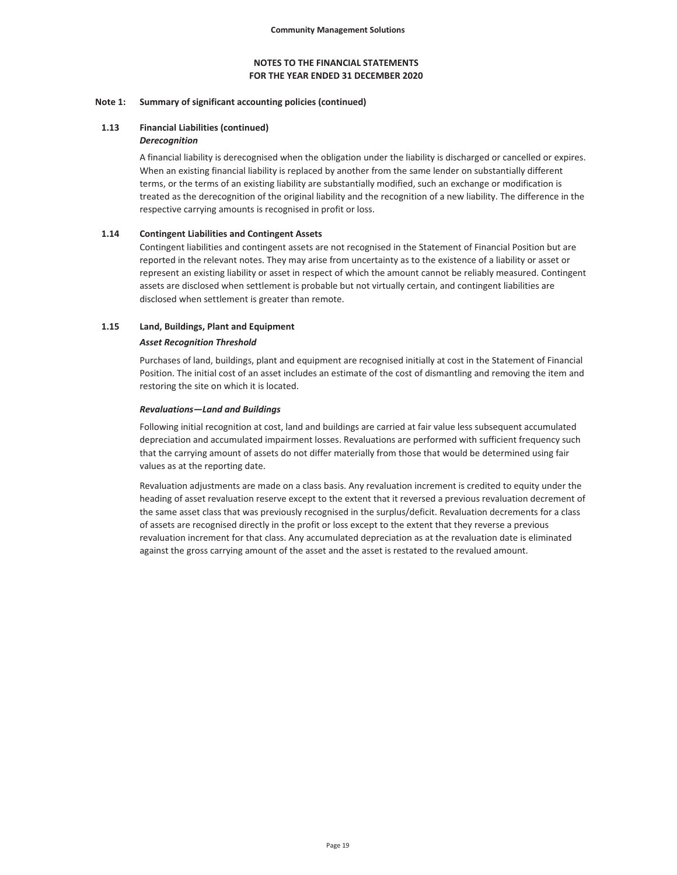#### **Note 1: Summary of significant accounting policies (continued)**

# **1.13 Financial Liabilities (continued)**

### *Derecognition*

A financial liability is derecognised when the obligation under the liability is discharged or cancelled or expires. When an existing financial liability is replaced by another from the same lender on substantially different terms, or the terms of an existing liability are substantially modified, such an exchange or modification is treated as the derecognition of the original liability and the recognition of a new liability. The difference in the respective carrying amounts is recognised in profit or loss.

#### **1.14 Contingent Liabilities and Contingent Assets**

Contingent liabilities and contingent assets are not recognised in the Statement of Financial Position but are reported in the relevant notes. They may arise from uncertainty as to the existence of a liability or asset or represent an existing liability or asset in respect of which the amount cannot be reliably measured. Contingent assets are disclosed when settlement is probable but not virtually certain, and contingent liabilities are disclosed when settlement is greater than remote.

#### **1.15 Land, Buildings, Plant and Equipment**

#### *Asset Recognition Threshold*

Purchases of land, buildings, plant and equipment are recognised initially at cost in the Statement of Financial Position. The initial cost of an asset includes an estimate of the cost of dismantling and removing the item and restoring the site on which it is located.

#### *Revaluations—Land and Buildings*

Following initial recognition at cost, land and buildings are carried at fair value less subsequent accumulated depreciation and accumulated impairment losses. Revaluations are performed with sufficient frequency such that the carrying amount of assets do not differ materially from those that would be determined using fair values as at the reporting date.

Revaluation adjustments are made on a class basis. Any revaluation increment is credited to equity under the heading of asset revaluation reserve except to the extent that it reversed a previous revaluation decrement of the same asset class that was previously recognised in the surplus/deficit. Revaluation decrements for a class of assets are recognised directly in the profit or loss except to the extent that they reverse a previous revaluation increment for that class. Any accumulated depreciation as at the revaluation date is eliminated against the gross carrying amount of the asset and the asset is restated to the revalued amount.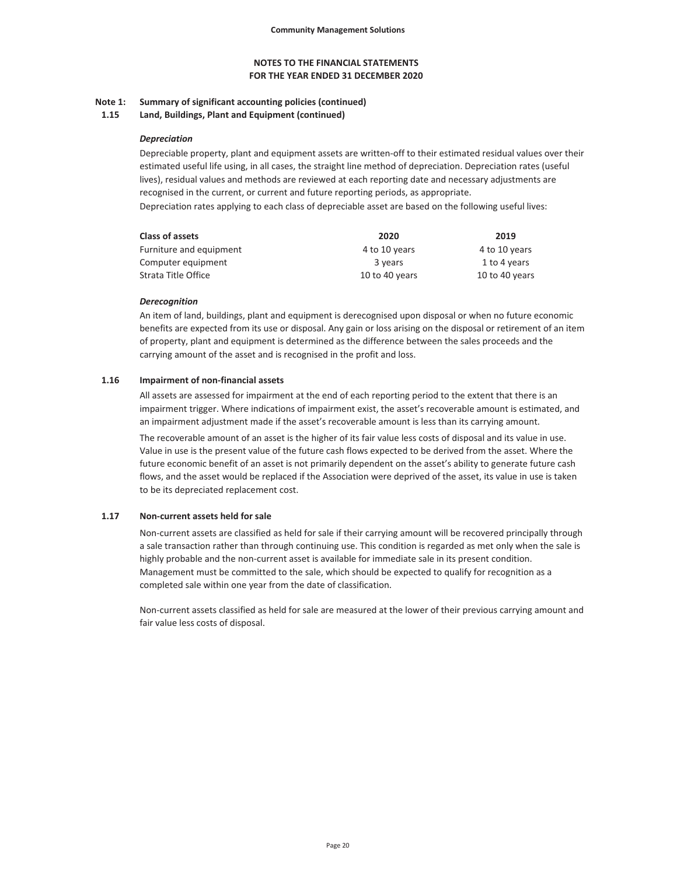#### **Note 1: Summary of significant accounting policies (continued)**

**1.15 Land, Buildings, Plant and Equipment (continued)**

#### *Depreciation*

Depreciable property, plant and equipment assets are written-off to their estimated residual values over their estimated useful life using, in all cases, the straight line method of depreciation. Depreciation rates (useful lives), residual values and methods are reviewed at each reporting date and necessary adjustments are recognised in the current, or current and future reporting periods, as appropriate. Depreciation rates applying to each class of depreciable asset are based on the following useful lives:

| <b>Class of assets</b>  | 2020           | 2019           |
|-------------------------|----------------|----------------|
| Furniture and equipment | 4 to 10 years  | 4 to 10 years  |
| Computer equipment      | 3 years        | 1 to 4 years   |
| Strata Title Office     | 10 to 40 years | 10 to 40 years |

#### *Derecognition*

An item of land, buildings, plant and equipment is derecognised upon disposal or when no future economic benefits are expected from its use or disposal. Any gain or loss arising on the disposal or retirement of an item of property, plant and equipment is determined as the difference between the sales proceeds and the carrying amount of the asset and is recognised in the profit and loss.

### **1.16 Impairment of non-financial assets**

All assets are assessed for impairment at the end of each reporting period to the extent that there is an impairment trigger. Where indications of impairment exist, the asset's recoverable amount is estimated, and an impairment adjustment made if the asset's recoverable amount is less than its carrying amount.

The recoverable amount of an asset is the higher of its fair value less costs of disposal and its value in use. Value in use is the present value of the future cash flows expected to be derived from the asset. Where the future economic benefit of an asset is not primarily dependent on the asset's ability to generate future cash flows, and the asset would be replaced if the Association were deprived of the asset, its value in use is taken to be its depreciated replacement cost.

### **1.17 Non-current assets held for sale**

Non-current assets are classified as held for sale if their carrying amount will be recovered principally through a sale transaction rather than through continuing use. This condition is regarded as met only when the sale is highly probable and the non-current asset is available for immediate sale in its present condition. Management must be committed to the sale, which should be expected to qualify for recognition as a completed sale within one year from the date of classification.

Non-current assets classified as held for sale are measured at the lower of their previous carrying amount and fair value less costs of disposal.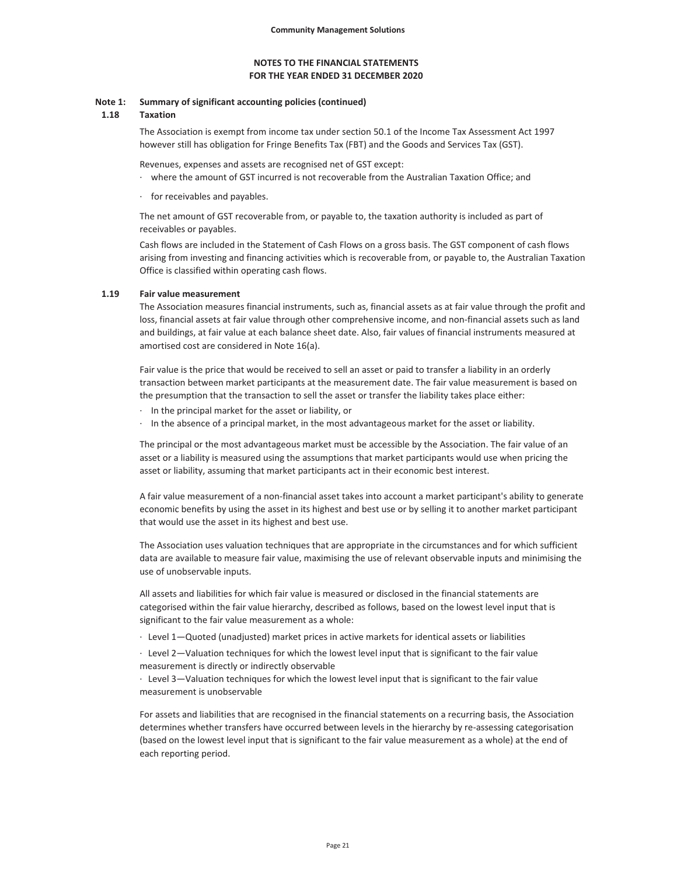#### **Note 1: Summary of significant accounting policies (continued)**

#### **1.18 Taxation**

The Association is exempt from income tax under section 50.1 of the Income Tax Assessment Act 1997 however still has obligation for Fringe Benefits Tax (FBT) and the Goods and Services Tax (GST).

Revenues, expenses and assets are recognised net of GST except:

· where the amount of GST incurred is not recoverable from the Australian Taxation Office; and

for receivables and payables.

The net amount of GST recoverable from, or payable to, the taxation authority is included as part of receivables or payables.

Cash flows are included in the Statement of Cash Flows on a gross basis. The GST component of cash flows arising from investing and financing activities which is recoverable from, or payable to, the Australian Taxation Office is classified within operating cash flows.

#### **1.19 Fair value measurement**

The Association measures financial instruments, such as, financial assets as at fair value through the profit and loss, financial assets at fair value through other comprehensive income, and non-financial assets such as land and buildings, at fair value at each balance sheet date. Also, fair values of financial instruments measured at amortised cost are considered in Note 16(a).

Fair value is the price that would be received to sell an asset or paid to transfer a liability in an orderly transaction between market participants at the measurement date. The fair value measurement is based on the presumption that the transaction to sell the asset or transfer the liability takes place either:

- · In the principal market for the asset or liability, or
- · In the absence of a principal market, in the most advantageous market for the asset or liability.

The principal or the most advantageous market must be accessible by the Association. The fair value of an asset or a liability is measured using the assumptions that market participants would use when pricing the asset or liability, assuming that market participants act in their economic best interest.

A fair value measurement of a non-financial asset takes into account a market participant's ability to generate economic benefits by using the asset in its highest and best use or by selling it to another market participant that would use the asset in its highest and best use.

The Association uses valuation techniques that are appropriate in the circumstances and for which sufficient data are available to measure fair value, maximising the use of relevant observable inputs and minimising the use of unobservable inputs.

All assets and liabilities for which fair value is measured or disclosed in the financial statements are categorised within the fair value hierarchy, described as follows, based on the lowest level input that is significant to the fair value measurement as a whole:

· Level 1—Quoted (unadjusted) market prices in active markets for identical assets or liabilities

· Level 2—Valuation techniques for which the lowest level input that is significant to the fair value measurement is directly or indirectly observable

· Level 3—Valuation techniques for which the lowest level input that is significant to the fair value measurement is unobservable

For assets and liabilities that are recognised in the financial statements on a recurring basis, the Association determines whether transfers have occurred between levels in the hierarchy by re-assessing categorisation (based on the lowest level input that is significant to the fair value measurement as a whole) at the end of each reporting period.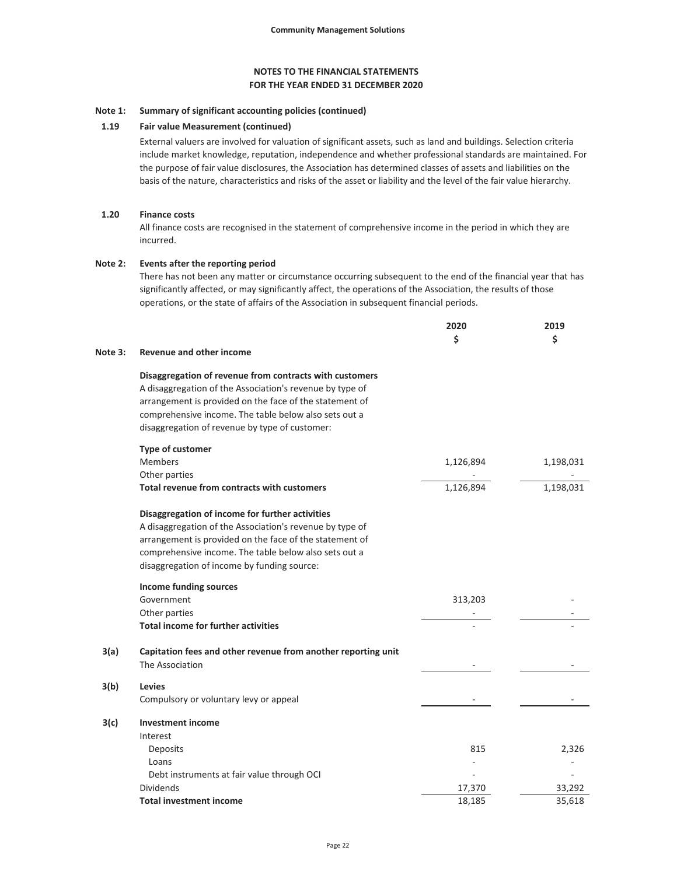#### **Note 1: Summary of significant accounting policies (continued)**

### **1.19 Fair value Measurement (continued)**

External valuers are involved for valuation of significant assets, such as land and buildings. Selection criteria include market knowledge, reputation, independence and whether professional standards are maintained. For the purpose of fair value disclosures, the Association has determined classes of assets and liabilities on the basis of the nature, characteristics and risks of the asset or liability and the level of the fair value hierarchy.

#### **1.20 Finance costs**

All finance costs are recognised in the statement of comprehensive income in the period in which they are incurred.

#### **Note 2: Events after the reporting period**

There has not been any matter or circumstance occurring subsequent to the end of the financial year that has significantly affected, or may significantly affect, the operations of the Association, the results of those operations, or the state of affairs of the Association in subsequent financial periods.

|         |                                                               | 2020<br>Ś | 2019<br>Ś |
|---------|---------------------------------------------------------------|-----------|-----------|
| Note 3: | <b>Revenue and other income</b>                               |           |           |
|         | Disaggregation of revenue from contracts with customers       |           |           |
|         | A disaggregation of the Association's revenue by type of      |           |           |
|         | arrangement is provided on the face of the statement of       |           |           |
|         | comprehensive income. The table below also sets out a         |           |           |
|         | disaggregation of revenue by type of customer:                |           |           |
|         | <b>Type of customer</b>                                       |           |           |
|         | <b>Members</b>                                                | 1,126,894 | 1,198,031 |
|         | Other parties                                                 |           |           |
|         | Total revenue from contracts with customers                   | 1,126,894 | 1,198,031 |
|         | Disaggregation of income for further activities               |           |           |
|         | A disaggregation of the Association's revenue by type of      |           |           |
|         | arrangement is provided on the face of the statement of       |           |           |
|         | comprehensive income. The table below also sets out a         |           |           |
|         | disaggregation of income by funding source:                   |           |           |
|         | Income funding sources                                        |           |           |
|         | Government                                                    | 313,203   |           |
|         | Other parties                                                 |           |           |
|         | <b>Total income for further activities</b>                    |           |           |
| 3(a)    | Capitation fees and other revenue from another reporting unit |           |           |
|         | The Association                                               |           |           |
| 3(b)    | <b>Levies</b>                                                 |           |           |
|         | Compulsory or voluntary levy or appeal                        |           |           |
| 3(c)    | <b>Investment income</b>                                      |           |           |
|         | Interest                                                      |           |           |
|         | Deposits                                                      | 815       | 2,326     |
|         | Loans                                                         |           |           |
|         | Debt instruments at fair value through OCI                    |           |           |
|         | Dividends                                                     | 17,370    | 33,292    |
|         | <b>Total investment income</b>                                | 18,185    | 35,618    |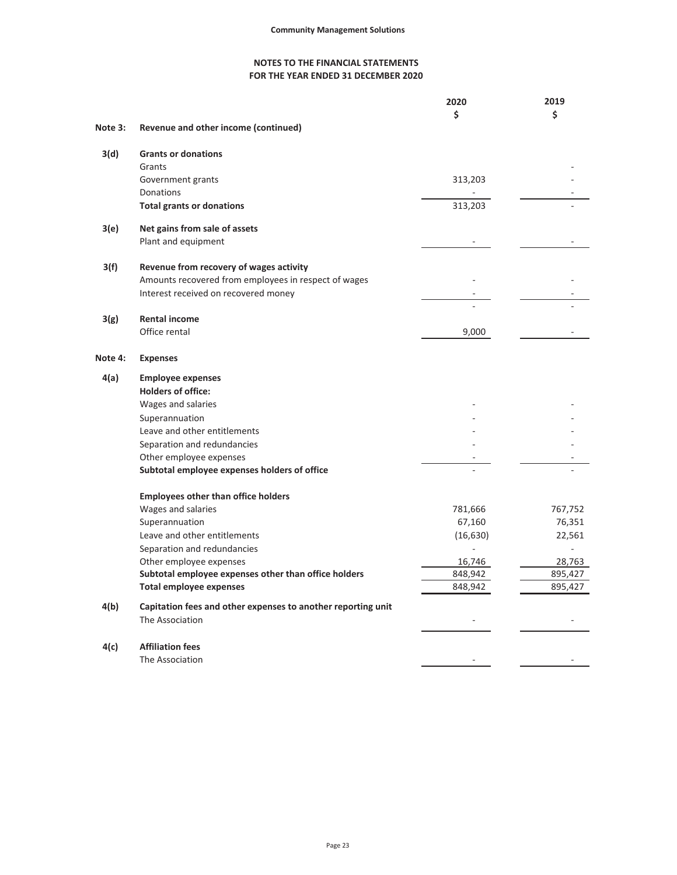|                                                              | 2020                                                                                                                                | 2019    |
|--------------------------------------------------------------|-------------------------------------------------------------------------------------------------------------------------------------|---------|
|                                                              | \$                                                                                                                                  | \$      |
| Revenue and other income (continued)                         |                                                                                                                                     |         |
| <b>Grants or donations</b>                                   |                                                                                                                                     |         |
| Grants                                                       |                                                                                                                                     |         |
| Government grants                                            | 313,203                                                                                                                             |         |
| Donations                                                    |                                                                                                                                     |         |
| <b>Total grants or donations</b>                             | 313,203                                                                                                                             |         |
| Net gains from sale of assets                                |                                                                                                                                     |         |
| Plant and equipment                                          |                                                                                                                                     |         |
|                                                              |                                                                                                                                     |         |
|                                                              |                                                                                                                                     |         |
| Interest received on recovered money                         |                                                                                                                                     |         |
|                                                              |                                                                                                                                     |         |
| <b>Rental income</b>                                         |                                                                                                                                     |         |
|                                                              |                                                                                                                                     |         |
| <b>Expenses</b>                                              |                                                                                                                                     |         |
| <b>Employee expenses</b>                                     |                                                                                                                                     |         |
| <b>Holders of office:</b>                                    |                                                                                                                                     |         |
| Wages and salaries                                           |                                                                                                                                     |         |
| Superannuation                                               |                                                                                                                                     |         |
| Leave and other entitlements                                 |                                                                                                                                     |         |
| Separation and redundancies                                  |                                                                                                                                     |         |
| Other employee expenses                                      |                                                                                                                                     |         |
| Subtotal employee expenses holders of office                 |                                                                                                                                     |         |
| <b>Employees other than office holders</b>                   |                                                                                                                                     |         |
| Wages and salaries                                           | 781,666                                                                                                                             | 767,752 |
| Superannuation                                               | 67,160                                                                                                                              | 76,351  |
| Leave and other entitlements                                 | (16, 630)                                                                                                                           | 22,561  |
| Separation and redundancies                                  |                                                                                                                                     |         |
| Other employee expenses                                      | 16,746                                                                                                                              | 28,763  |
| Subtotal employee expenses other than office holders         | 848,942                                                                                                                             | 895,427 |
| <b>Total employee expenses</b>                               | 848,942                                                                                                                             | 895,427 |
| Capitation fees and other expenses to another reporting unit |                                                                                                                                     |         |
|                                                              |                                                                                                                                     |         |
| <b>Affiliation fees</b>                                      |                                                                                                                                     |         |
| The Association                                              |                                                                                                                                     |         |
|                                                              | Revenue from recovery of wages activity<br>Amounts recovered from employees in respect of wages<br>Office rental<br>The Association | 9,000   |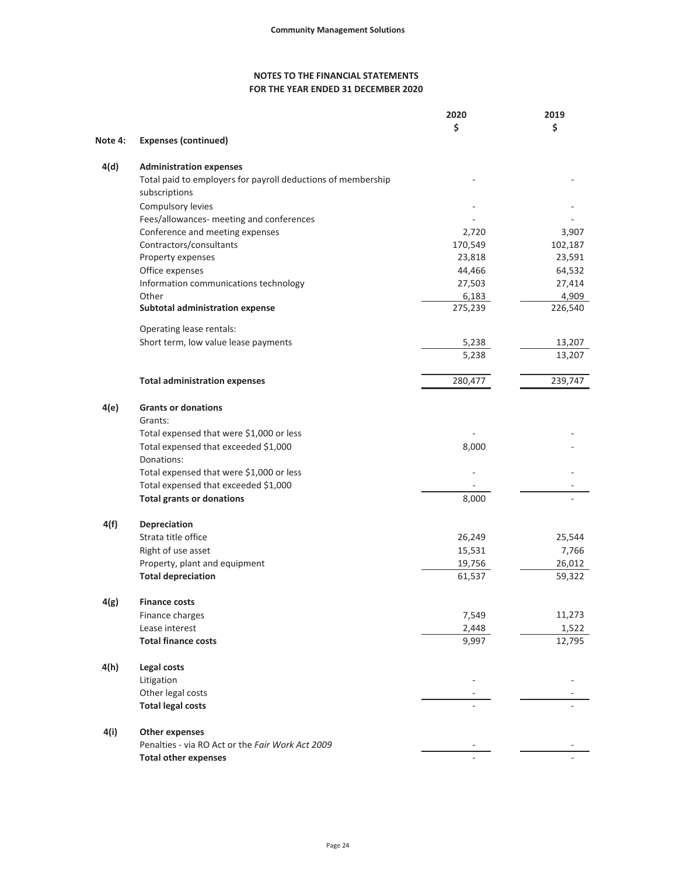|         |                                                              | 2020    | 2019    |
|---------|--------------------------------------------------------------|---------|---------|
|         |                                                              | \$      | \$      |
| Note 4: | <b>Expenses (continued)</b>                                  |         |         |
| 4(d)    | <b>Administration expenses</b>                               |         |         |
|         | Total paid to employers for payroll deductions of membership |         |         |
|         | subscriptions                                                |         |         |
|         | Compulsory levies                                            |         |         |
|         | Fees/allowances- meeting and conferences                     |         |         |
|         | Conference and meeting expenses                              | 2,720   | 3,907   |
|         | Contractors/consultants                                      | 170,549 | 102,187 |
|         | Property expenses                                            | 23,818  | 23,591  |
|         | Office expenses                                              | 44,466  | 64,532  |
|         | Information communications technology                        | 27,503  | 27,414  |
|         | Other                                                        | 6,183   | 4,909   |
|         | <b>Subtotal administration expense</b>                       | 275,239 | 226,540 |
|         | Operating lease rentals:                                     |         |         |
|         | Short term, low value lease payments                         | 5,238   | 13,207  |
|         |                                                              | 5,238   | 13,207  |
|         | <b>Total administration expenses</b>                         | 280,477 | 239,747 |
| 4(e)    | <b>Grants or donations</b>                                   |         |         |
|         | Grants:                                                      |         |         |
|         | Total expensed that were \$1,000 or less                     |         |         |
|         | Total expensed that exceeded \$1,000                         | 8,000   |         |
|         | Donations:                                                   |         |         |
|         | Total expensed that were \$1,000 or less                     |         |         |
|         | Total expensed that exceeded \$1,000                         |         |         |
|         | <b>Total grants or donations</b>                             | 8,000   |         |
|         |                                                              |         |         |
| 4(f)    | Depreciation                                                 |         |         |
|         | Strata title office                                          | 26,249  | 25,544  |
|         | Right of use asset                                           | 15,531  | 7,766   |
|         | Property, plant and equipment                                | 19,756  | 26,012  |
|         | <b>Total depreciation</b>                                    | 61,537  | 59,322  |
| 4(g)    | <b>Finance costs</b>                                         |         |         |
|         | Finance charges                                              | 7,549   | 11,273  |
|         | Lease interest                                               | 2,448   | 1,522   |
|         | <b>Total finance costs</b>                                   | 9,997   | 12,795  |
| 4(h)    | Legal costs                                                  |         |         |
|         | Litigation                                                   |         |         |
|         | Other legal costs                                            |         |         |
|         | <b>Total legal costs</b>                                     |         |         |
| 4(i)    | <b>Other expenses</b>                                        |         |         |
|         | Penalties - via RO Act or the Fair Work Act 2009             |         |         |
|         | <b>Total other expenses</b>                                  |         |         |
|         |                                                              |         |         |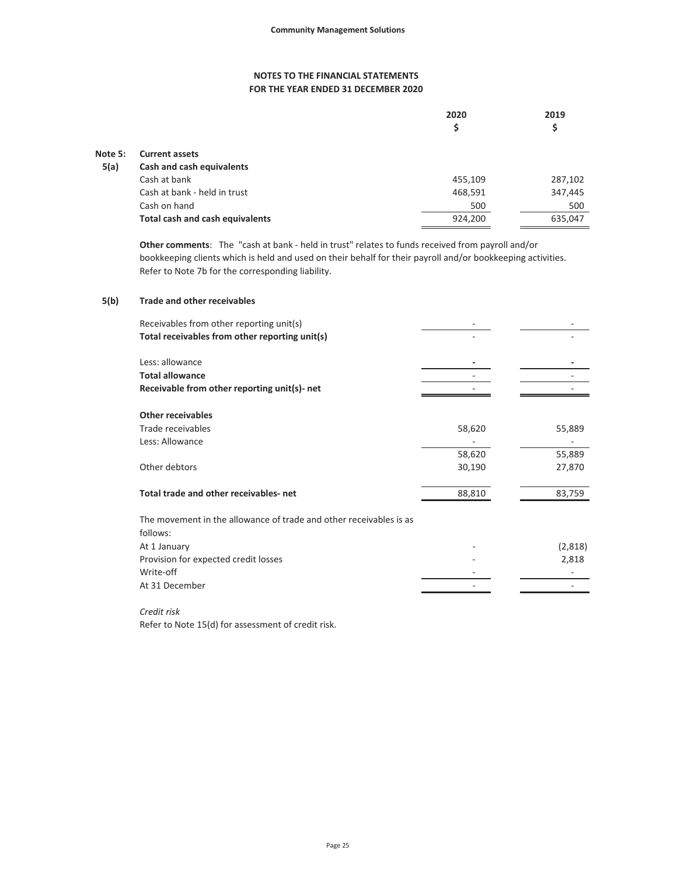|         |                                 | 2020<br>\$ | 2019<br>\$ |
|---------|---------------------------------|------------|------------|
| Note 5: | <b>Current assets</b>           |            |            |
| 5(a)    | Cash and cash equivalents       |            |            |
|         | Cash at bank                    | 455,109    | 287,102    |
|         | Cash at bank - held in trust    | 468,591    | 347,445    |
|         | Cash on hand                    | 500        | 500        |
|         | Total cash and cash equivalents | 924,200    | 635,047    |

**Other comments**: The "cash at bank - held in trust" relates to funds received from payroll and/or bookkeeping clients which is held and used on their behalf for their payroll and/or bookkeeping activities. Refer to Note 7b for the corresponding liability.

#### **5(b) Trade and other receivables**

| Receivables from other reporting unit(s)                           |        |         |
|--------------------------------------------------------------------|--------|---------|
| Total receivables from other reporting unit(s)                     |        |         |
|                                                                    |        |         |
| Less: allowance                                                    |        |         |
| <b>Total allowance</b>                                             |        |         |
| Receivable from other reporting unit(s)- net                       |        |         |
|                                                                    |        |         |
| <b>Other receivables</b>                                           |        |         |
| Trade receivables                                                  | 58,620 | 55,889  |
| Less: Allowance                                                    |        |         |
|                                                                    | 58,620 | 55,889  |
| Other debtors                                                      | 30,190 | 27,870  |
|                                                                    |        |         |
| Total trade and other receivables-net                              | 88,810 | 83,759  |
|                                                                    |        |         |
| The movement in the allowance of trade and other receivables is as |        |         |
| follows:                                                           |        |         |
| At 1 January                                                       |        | (2,818) |
| Provision for expected credit losses                               |        | 2,818   |
| Write-off                                                          |        |         |
| At 31 December                                                     |        |         |
|                                                                    |        |         |

*Credit risk*

Refer to Note 15(d) for assessment of credit risk.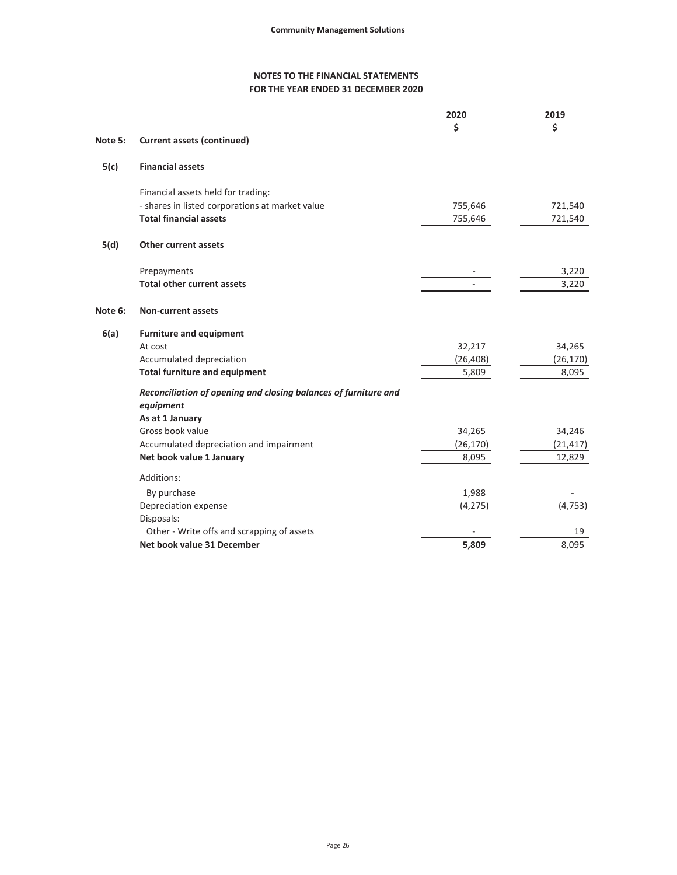|         |                                                                 | 2020      | 2019      |
|---------|-----------------------------------------------------------------|-----------|-----------|
| Note 5: | <b>Current assets (continued)</b>                               | \$        | \$        |
| 5(c)    | <b>Financial assets</b>                                         |           |           |
|         | Financial assets held for trading:                              |           |           |
|         | - shares in listed corporations at market value                 | 755,646   | 721,540   |
|         | <b>Total financial assets</b>                                   | 755,646   | 721,540   |
| 5(d)    | <b>Other current assets</b>                                     |           |           |
|         | Prepayments                                                     |           | 3,220     |
|         | <b>Total other current assets</b>                               |           | 3,220     |
| Note 6: | <b>Non-current assets</b>                                       |           |           |
| 6(a)    | <b>Furniture and equipment</b>                                  |           |           |
|         | At cost                                                         | 32,217    | 34,265    |
|         | Accumulated depreciation                                        | (26, 408) | (26, 170) |
|         | <b>Total furniture and equipment</b>                            | 5,809     | 8,095     |
|         | Reconciliation of opening and closing balances of furniture and |           |           |
|         | equipment<br>As at 1 January                                    |           |           |
|         | Gross book value                                                | 34,265    | 34,246    |
|         | Accumulated depreciation and impairment                         | (26, 170) | (21, 417) |
|         | Net book value 1 January                                        | 8,095     | 12,829    |
|         | Additions:                                                      |           |           |
|         | By purchase                                                     | 1,988     |           |
|         | Depreciation expense                                            | (4, 275)  | (4, 753)  |
|         | Disposals:                                                      |           |           |
|         | Other - Write offs and scrapping of assets                      |           | 19        |
|         | Net book value 31 December                                      | 5,809     | 8,095     |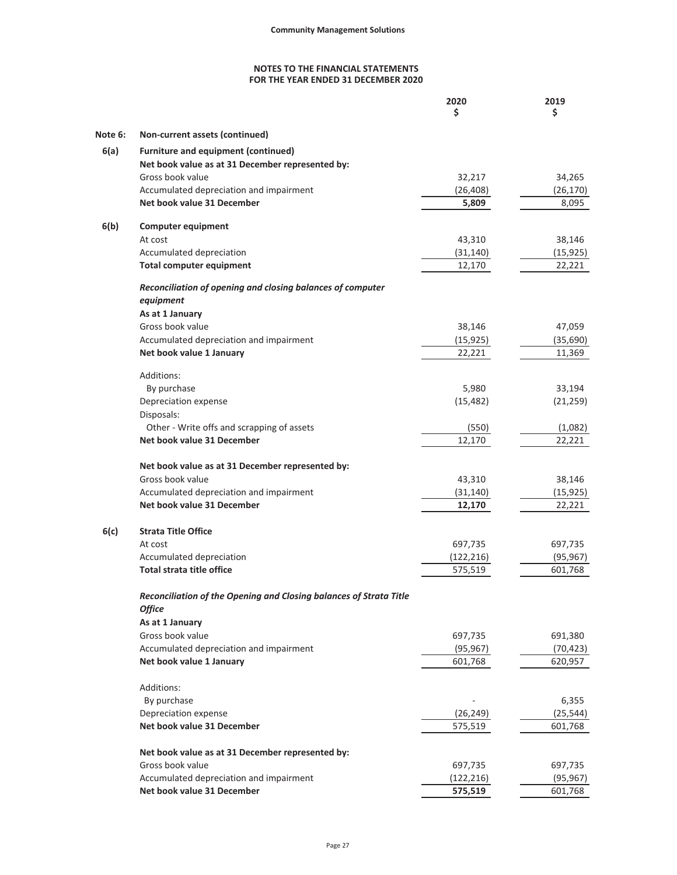|         |                                                                    | 2020<br>\$ | 2019<br>\$ |
|---------|--------------------------------------------------------------------|------------|------------|
|         |                                                                    |            |            |
| Note 6: | Non-current assets (continued)                                     |            |            |
| 6(a)    | <b>Furniture and equipment (continued)</b>                         |            |            |
|         | Net book value as at 31 December represented by:                   |            |            |
|         | Gross book value                                                   | 32,217     | 34,265     |
|         | Accumulated depreciation and impairment                            | (26, 408)  | (26, 170)  |
|         | Net book value 31 December                                         | 5,809      | 8,095      |
| 6(b)    | <b>Computer equipment</b>                                          |            |            |
|         | At cost                                                            | 43,310     | 38,146     |
|         | Accumulated depreciation                                           | (31, 140)  | (15, 925)  |
|         | <b>Total computer equipment</b>                                    | 12,170     | 22,221     |
|         | Reconciliation of opening and closing balances of computer         |            |            |
|         | equipment                                                          |            |            |
|         | As at 1 January                                                    |            |            |
|         | Gross book value                                                   | 38,146     | 47,059     |
|         | Accumulated depreciation and impairment                            | (15, 925)  | (35,690)   |
|         | Net book value 1 January                                           | 22,221     | 11,369     |
|         | Additions:                                                         |            |            |
|         | By purchase                                                        | 5,980      | 33,194     |
|         | Depreciation expense                                               | (15, 482)  | (21, 259)  |
|         | Disposals:                                                         |            |            |
|         | Other - Write offs and scrapping of assets                         | (550)      | (1,082)    |
|         | Net book value 31 December                                         | 12,170     | 22,221     |
|         | Net book value as at 31 December represented by:                   |            |            |
|         | Gross book value                                                   | 43,310     | 38,146     |
|         | Accumulated depreciation and impairment                            | (31, 140)  | (15, 925)  |
|         | Net book value 31 December                                         | 12,170     | 22,221     |
|         | <b>Strata Title Office</b>                                         |            |            |
| 6(c)    | At cost                                                            | 697,735    | 697,735    |
|         | Accumulated depreciation                                           | (122, 216) | (95, 967)  |
|         | <b>Total strata title office</b>                                   | 575,519    | 601,768    |
|         |                                                                    |            |            |
|         | Reconciliation of the Opening and Closing balances of Strata Title |            |            |
|         | <b>Office</b>                                                      |            |            |
|         | As at 1 January                                                    |            |            |
|         | Gross book value                                                   | 697,735    | 691,380    |
|         | Accumulated depreciation and impairment                            | (95, 967)  | (70, 423)  |
|         | Net book value 1 January                                           | 601,768    | 620,957    |
|         | Additions:                                                         |            |            |
|         | By purchase                                                        |            | 6,355      |
|         | Depreciation expense                                               | (26, 249)  | (25, 544)  |
|         | Net book value 31 December                                         | 575,519    | 601,768    |
|         | Net book value as at 31 December represented by:                   |            |            |
|         | Gross book value                                                   | 697,735    | 697,735    |
|         | Accumulated depreciation and impairment                            | (122, 216) | (95, 967)  |
|         | Net book value 31 December                                         | 575,519    | 601,768    |
|         |                                                                    |            |            |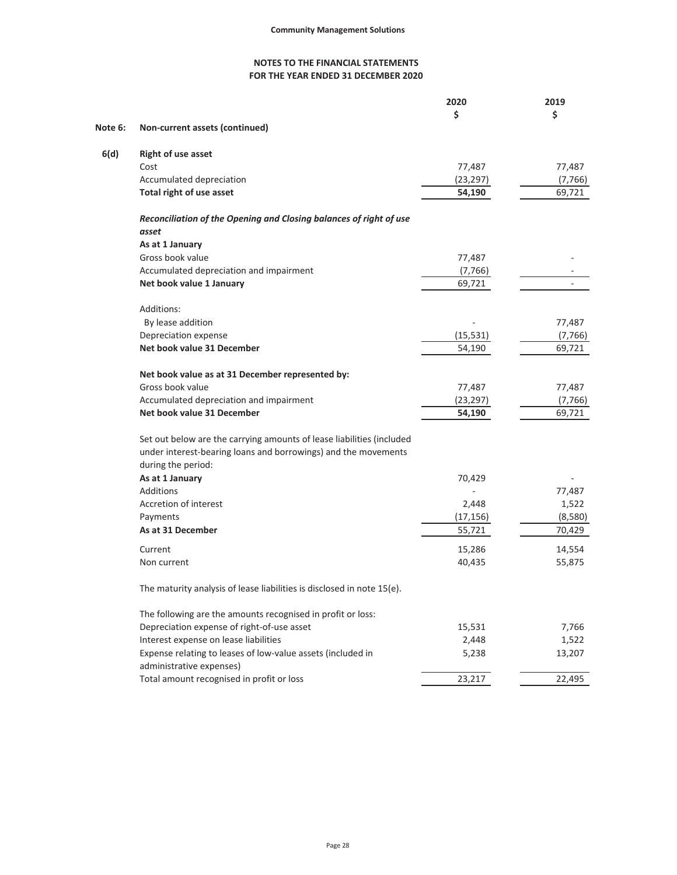|         |                                                                        | 2020      | 2019     |
|---------|------------------------------------------------------------------------|-----------|----------|
|         |                                                                        | \$        | \$       |
| Note 6: | Non-current assets (continued)                                         |           |          |
| 6(d)    | <b>Right of use asset</b>                                              |           |          |
|         | Cost                                                                   | 77,487    | 77,487   |
|         | Accumulated depreciation                                               | (23, 297) | (7, 766) |
|         | Total right of use asset                                               | 54,190    | 69,721   |
|         | Reconciliation of the Opening and Closing balances of right of use     |           |          |
|         | asset                                                                  |           |          |
|         | As at 1 January                                                        |           |          |
|         | Gross book value                                                       | 77,487    |          |
|         | Accumulated depreciation and impairment                                | (7, 766)  |          |
|         | Net book value 1 January                                               | 69,721    |          |
|         | Additions:                                                             |           |          |
|         | By lease addition                                                      |           | 77,487   |
|         | Depreciation expense                                                   | (15, 531) | (7, 766) |
|         | Net book value 31 December                                             | 54,190    | 69,721   |
|         | Net book value as at 31 December represented by:                       |           |          |
|         | Gross book value                                                       | 77,487    | 77,487   |
|         | Accumulated depreciation and impairment                                | (23, 297) | (7, 766) |
|         | Net book value 31 December                                             | 54,190    | 69,721   |
|         | Set out below are the carrying amounts of lease liabilities (included  |           |          |
|         | under interest-bearing loans and borrowings) and the movements         |           |          |
|         | during the period:                                                     |           |          |
|         | As at 1 January                                                        | 70,429    |          |
|         | Additions                                                              |           | 77,487   |
|         | Accretion of interest                                                  | 2,448     | 1,522    |
|         | Payments                                                               | (17, 156) | (8,580)  |
|         | As at 31 December                                                      | 55,721    | 70,429   |
|         | Current                                                                | 15,286    | 14,554   |
|         | Non current                                                            | 40,435    | 55,875   |
|         | The maturity analysis of lease liabilities is disclosed in note 15(e). |           |          |
|         | The following are the amounts recognised in profit or loss:            |           |          |
|         | Depreciation expense of right-of-use asset                             | 15,531    | 7,766    |
|         | Interest expense on lease liabilities                                  | 2,448     | 1,522    |
|         | Expense relating to leases of low-value assets (included in            | 5,238     | 13,207   |
|         | administrative expenses)                                               |           |          |
|         | Total amount recognised in profit or loss                              | 23,217    | 22,495   |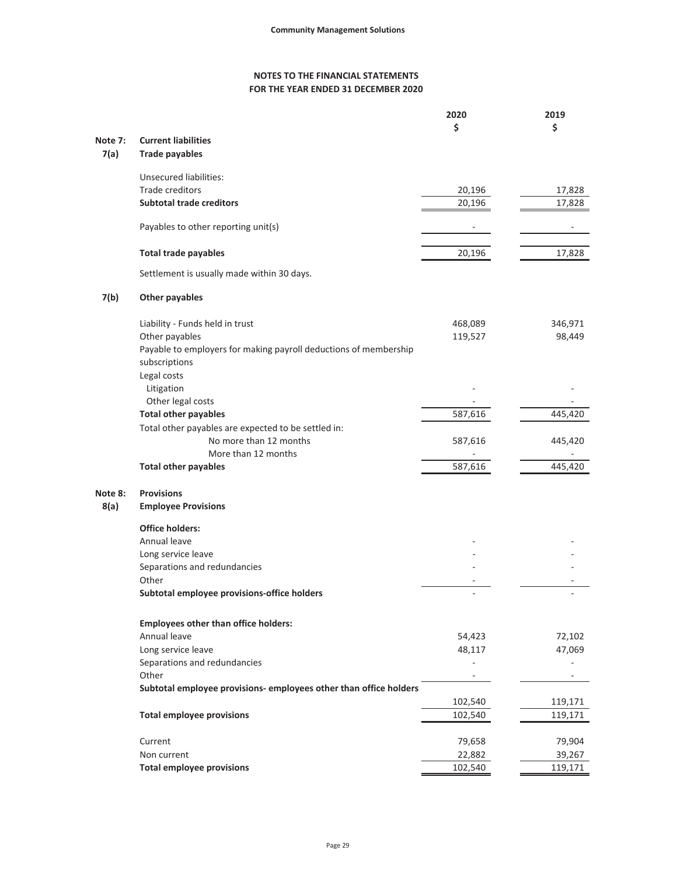|         |                                                                   | 2020    | 2019    |
|---------|-------------------------------------------------------------------|---------|---------|
|         |                                                                   | \$      | \$      |
| Note 7: | <b>Current liabilities</b>                                        |         |         |
| 7(a)    | <b>Trade payables</b>                                             |         |         |
|         | <b>Unsecured liabilities:</b>                                     |         |         |
|         | Trade creditors                                                   | 20,196  | 17,828  |
|         | <b>Subtotal trade creditors</b>                                   | 20,196  | 17,828  |
|         |                                                                   |         |         |
|         | Payables to other reporting unit(s)                               |         |         |
|         | <b>Total trade payables</b>                                       | 20,196  | 17,828  |
|         |                                                                   |         |         |
|         | Settlement is usually made within 30 days.                        |         |         |
| 7(b)    | <b>Other payables</b>                                             |         |         |
|         |                                                                   |         |         |
|         | Liability - Funds held in trust                                   | 468,089 | 346,971 |
|         | Other payables                                                    | 119,527 | 98,449  |
|         | Payable to employers for making payroll deductions of membership  |         |         |
|         | subscriptions                                                     |         |         |
|         | Legal costs                                                       |         |         |
|         | Litigation                                                        |         |         |
|         | Other legal costs                                                 |         |         |
|         | <b>Total other payables</b>                                       | 587,616 | 445,420 |
|         | Total other payables are expected to be settled in:               |         |         |
|         | No more than 12 months                                            | 587,616 | 445,420 |
|         | More than 12 months                                               |         |         |
|         | <b>Total other payables</b>                                       | 587,616 | 445,420 |
| Note 8: | <b>Provisions</b>                                                 |         |         |
| 8(a)    | <b>Employee Provisions</b>                                        |         |         |
|         |                                                                   |         |         |
|         | <b>Office holders:</b>                                            |         |         |
|         | Annual leave                                                      |         |         |
|         | Long service leave                                                |         |         |
|         | Separations and redundancies                                      |         |         |
|         | Other                                                             |         |         |
|         | Subtotal employee provisions-office holders                       |         |         |
|         |                                                                   |         |         |
|         | <b>Employees other than office holders:</b>                       |         |         |
|         | Annual leave                                                      | 54,423  | 72,102  |
|         | Long service leave                                                | 48,117  | 47,069  |
|         | Separations and redundancies                                      |         |         |
|         | Other                                                             |         |         |
|         | Subtotal employee provisions- employees other than office holders |         |         |
|         |                                                                   | 102,540 | 119,171 |
|         | <b>Total employee provisions</b>                                  | 102,540 | 119,171 |
|         | Current                                                           | 79,658  | 79,904  |
|         | Non current                                                       | 22,882  | 39,267  |
|         | <b>Total employee provisions</b>                                  | 102,540 | 119,171 |
|         |                                                                   |         |         |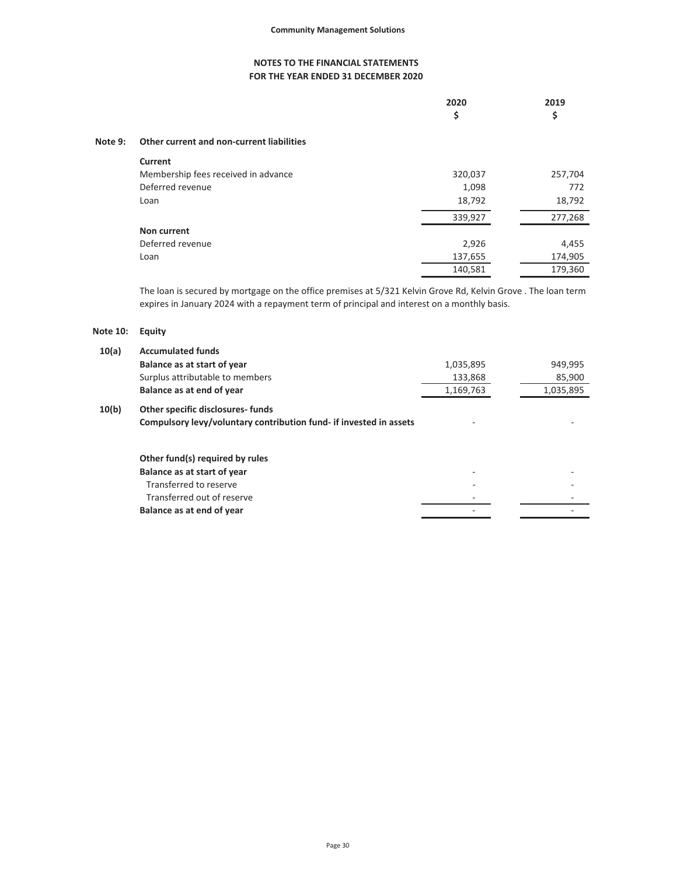| 2020   | 2019 |
|--------|------|
| -<br>پ | . .  |

# **Note 9: Other current and non-current liabilities**

| Current                             |         |         |
|-------------------------------------|---------|---------|
| Membership fees received in advance | 320,037 | 257,704 |
| Deferred revenue                    | 1,098   | 772     |
| Loan                                | 18,792  | 18,792  |
|                                     | 339,927 | 277,268 |
| Non current                         |         |         |
| Deferred revenue                    | 2,926   | 4,455   |
| Loan                                | 137,655 | 174,905 |
|                                     | 140,581 | 179,360 |

The loan is secured by mortgage on the office premises at 5/321 Kelvin Grove Rd, Kelvin Grove . The loan term expires in January 2024 with a repayment term of principal and interest on a monthly basis.

# **Note 10: Equity**

| 10(a) | <b>Accumulated funds</b>                                           |           |           |
|-------|--------------------------------------------------------------------|-----------|-----------|
|       | Balance as at start of year                                        | 1,035,895 | 949,995   |
|       | Surplus attributable to members                                    | 133,868   | 85,900    |
|       | Balance as at end of year                                          | 1,169,763 | 1,035,895 |
| 10(b) | <b>Other specific disclosures-funds</b>                            |           |           |
|       | Compulsory levy/voluntary contribution fund- if invested in assets |           |           |
|       | Other fund(s) required by rules                                    |           |           |
|       | Balance as at start of year                                        |           |           |
|       | Transferred to reserve                                             |           |           |
|       | Transferred out of reserve                                         |           |           |
|       | Balance as at end of year                                          |           |           |
|       |                                                                    |           |           |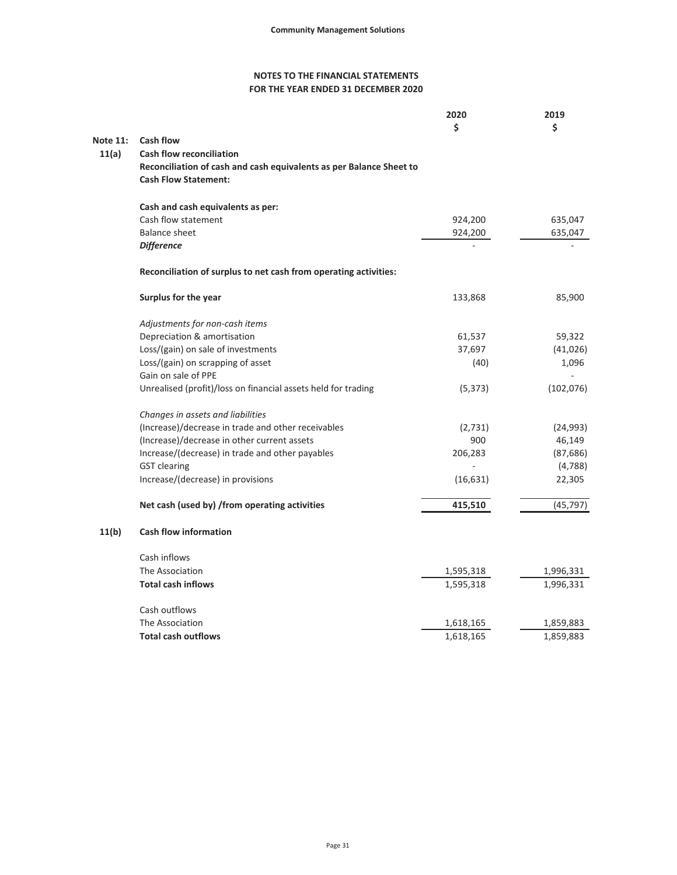|                 |                                                                     | 2020<br>Ś | 2019<br>\$ |
|-----------------|---------------------------------------------------------------------|-----------|------------|
| <b>Note 11:</b> | Cash flow                                                           |           |            |
| 11(a)           | <b>Cash flow reconciliation</b>                                     |           |            |
|                 | Reconciliation of cash and cash equivalents as per Balance Sheet to |           |            |
|                 | <b>Cash Flow Statement:</b>                                         |           |            |
|                 | Cash and cash equivalents as per:                                   |           |            |
|                 | Cash flow statement                                                 | 924,200   | 635,047    |
|                 | Balance sheet                                                       | 924,200   | 635,047    |
|                 | <b>Difference</b>                                                   |           |            |
|                 | Reconciliation of surplus to net cash from operating activities:    |           |            |
|                 | Surplus for the year                                                | 133,868   | 85,900     |
|                 | Adjustments for non-cash items                                      |           |            |
|                 | Depreciation & amortisation                                         | 61,537    | 59,322     |
|                 | Loss/(gain) on sale of investments                                  | 37,697    | (41, 026)  |
|                 | Loss/(gain) on scrapping of asset                                   | (40)      | 1,096      |
|                 | Gain on sale of PPE                                                 |           |            |
|                 | Unrealised (profit)/loss on financial assets held for trading       | (5, 373)  | (102, 076) |
|                 | Changes in assets and liabilities                                   |           |            |
|                 | (Increase)/decrease in trade and other receivables                  | (2,731)   | (24, 993)  |
|                 | (Increase)/decrease in other current assets                         | 900       | 46,149     |
|                 | Increase/(decrease) in trade and other payables                     | 206,283   | (87, 686)  |
|                 | <b>GST</b> clearing                                                 |           | (4,788)    |
|                 | Increase/(decrease) in provisions                                   | (16, 631) | 22,305     |
|                 | Net cash (used by) /from operating activities                       | 415,510   | (45, 797)  |
| 11(b)           | <b>Cash flow information</b>                                        |           |            |
|                 | Cash inflows                                                        |           |            |
|                 | The Association                                                     | 1,595,318 | 1,996,331  |
|                 | <b>Total cash inflows</b>                                           | 1,595,318 | 1,996,331  |
|                 | Cash outflows                                                       |           |            |
|                 | The Association                                                     | 1,618,165 | 1,859,883  |
|                 | <b>Total cash outflows</b>                                          | 1,618,165 | 1,859,883  |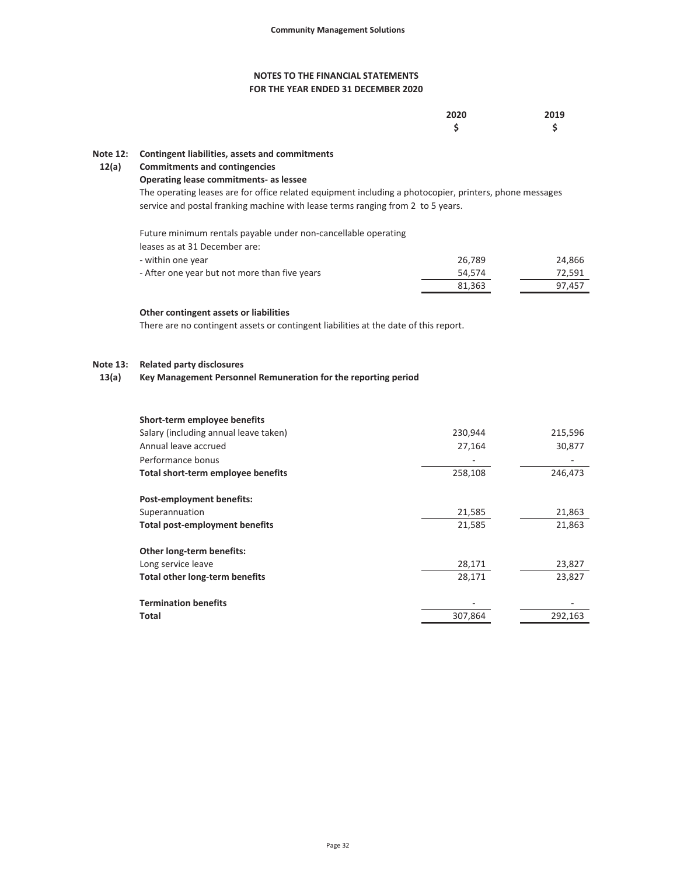### **FOR THE YEAR ENDED 31 DECEMBER 2020 NOTES TO THE FINANCIAL STATEMENTS**

| 2020 | 2019 |
|------|------|
| Ś    | Ś    |

#### **Note 12: Contingent liabilities, assets and commitments**

#### **12(a) Commitments and contingencies**

#### **Operating lease commitments- as lessee**

The operating leases are for office related equipment including a photocopier, printers, phone messages service and postal franking machine with lease terms ranging from 2 to 5 years.

Future minimum rentals payable under non-cancellable operating leases as at 31 December are:

| - within one year                             | 26.789 | 24,866 |
|-----------------------------------------------|--------|--------|
| - After one year but not more than five years | 54.574 | 72.591 |
|                                               | 81.363 | 97.457 |

#### **Other contingent assets or liabilities**

There are no contingent assets or contingent liabilities at the date of this report.

#### **Note 13: Related party disclosures**

#### **13(a) Key Management Personnel Remuneration for the reporting period**

| Short-term employee benefits          |         |         |
|---------------------------------------|---------|---------|
| Salary (including annual leave taken) | 230,944 | 215,596 |
| Annual leave accrued                  | 27,164  | 30,877  |
| Performance bonus                     |         |         |
| Total short-term employee benefits    | 258,108 | 246,473 |
| <b>Post-employment benefits:</b>      |         |         |
| Superannuation                        | 21,585  | 21,863  |
| <b>Total post-employment benefits</b> | 21,585  | 21,863  |
| Other long-term benefits:             |         |         |
| Long service leave                    | 28,171  | 23,827  |
| <b>Total other long-term benefits</b> | 28.171  | 23,827  |
| <b>Termination benefits</b>           |         |         |
| Total                                 | 307.864 | 292,163 |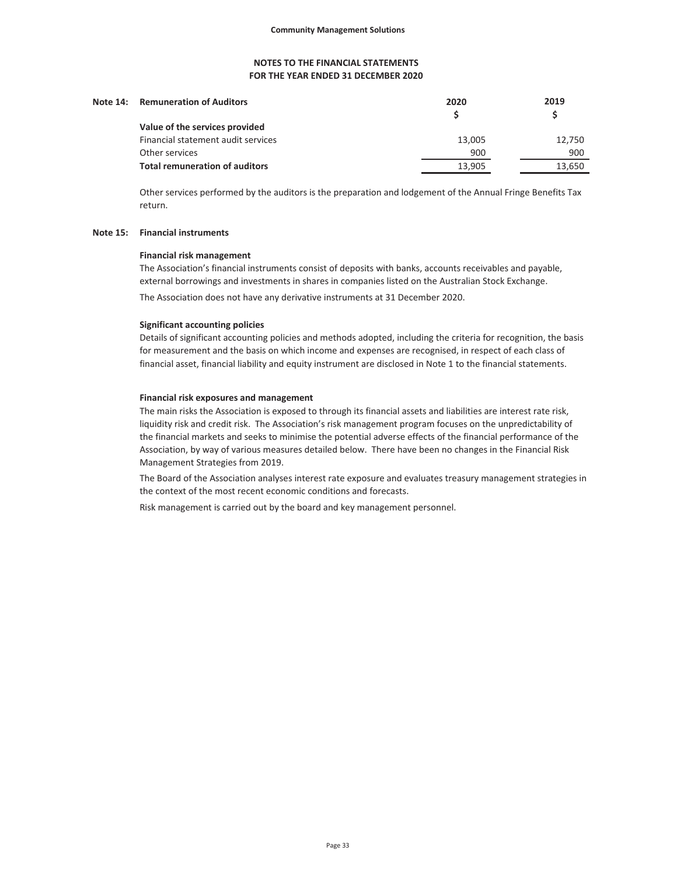| Note 14: Remuneration of Auditors     | 2020   | 2019   |
|---------------------------------------|--------|--------|
| Value of the services provided        |        |        |
| Financial statement audit services    | 13,005 | 12,750 |
| Other services                        | 900    | 900    |
| <b>Total remuneration of auditors</b> | 13.905 | 13,650 |

Other services performed by the auditors is the preparation and lodgement of the Annual Fringe Benefits Tax return.

#### **Note 15: Financial instruments**

#### **Financial risk management**

The Association's financial instruments consist of deposits with banks, accounts receivables and payable, external borrowings and investments in shares in companies listed on the Australian Stock Exchange.

The Association does not have any derivative instruments at 31 December 2020.

#### **Significant accounting policies**

Details of significant accounting policies and methods adopted, including the criteria for recognition, the basis for measurement and the basis on which income and expenses are recognised, in respect of each class of financial asset, financial liability and equity instrument are disclosed in Note 1 to the financial statements.

#### **Financial risk exposures and management**

The main risks the Association is exposed to through its financial assets and liabilities are interest rate risk, liquidity risk and credit risk. The Association's risk management program focuses on the unpredictability of the financial markets and seeks to minimise the potential adverse effects of the financial performance of the Association, by way of various measures detailed below. There have been no changes in the Financial Risk Management Strategies from 2019.

The Board of the Association analyses interest rate exposure and evaluates treasury management strategies in the context of the most recent economic conditions and forecasts.

Risk management is carried out by the board and key management personnel.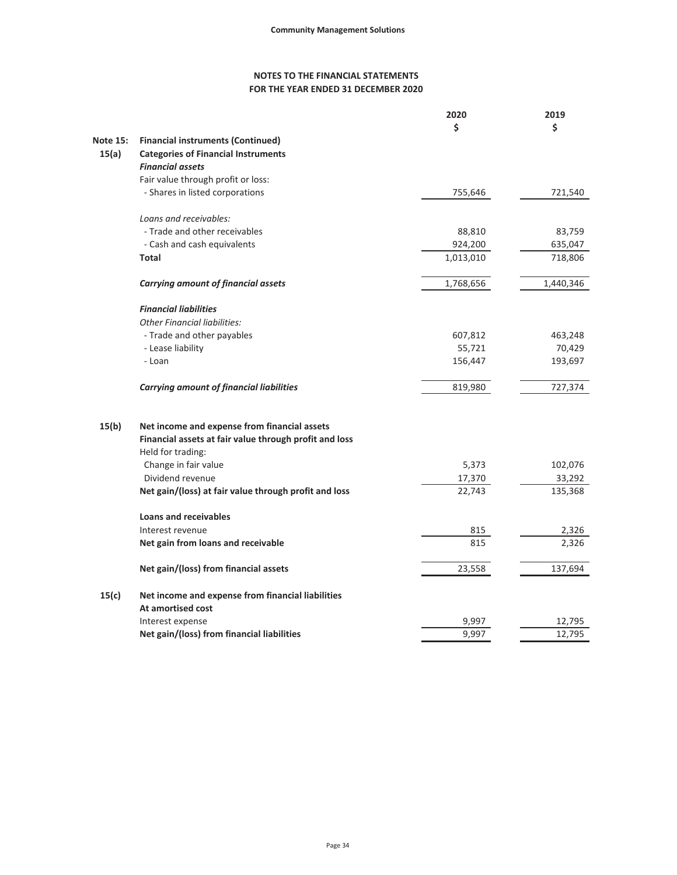# **FOR THE YEAR ENDED 31 DECEMBER 2020 NOTES TO THE FINANCIAL STATEMENTS**

|                 |                                                        | 2020      | 2019      |
|-----------------|--------------------------------------------------------|-----------|-----------|
|                 |                                                        | \$        | \$        |
| <b>Note 15:</b> | <b>Financial instruments (Continued)</b>               |           |           |
| 15(a)           | <b>Categories of Financial Instruments</b>             |           |           |
|                 | <b>Financial assets</b>                                |           |           |
|                 | Fair value through profit or loss:                     |           |           |
|                 | - Shares in listed corporations                        | 755,646   | 721,540   |
|                 |                                                        |           |           |
|                 | Loans and receivables:                                 |           |           |
|                 | - Trade and other receivables                          | 88,810    | 83,759    |
|                 | - Cash and cash equivalents                            | 924,200   | 635,047   |
|                 | Total                                                  | 1,013,010 | 718,806   |
|                 | <b>Carrying amount of financial assets</b>             | 1,768,656 | 1,440,346 |
|                 | <b>Financial liabilities</b>                           |           |           |
|                 | <b>Other Financial liabilities:</b>                    |           |           |
|                 | - Trade and other payables                             | 607,812   | 463,248   |
|                 |                                                        | 55,721    | 70,429    |
|                 | - Lease liability<br>- Loan                            |           |           |
|                 |                                                        | 156,447   | 193,697   |
|                 | <b>Carrying amount of financial liabilities</b>        | 819,980   | 727,374   |
| 15(b)           | Net income and expense from financial assets           |           |           |
|                 | Financial assets at fair value through profit and loss |           |           |
|                 | Held for trading:                                      |           |           |
|                 | Change in fair value                                   | 5,373     | 102,076   |
|                 | Dividend revenue                                       | 17,370    | 33,292    |
|                 | Net gain/(loss) at fair value through profit and loss  | 22,743    | 135,368   |
|                 |                                                        |           |           |
|                 | <b>Loans and receivables</b>                           |           |           |
|                 | Interest revenue                                       | 815       | 2,326     |
|                 | Net gain from loans and receivable                     | 815       | 2,326     |
|                 | Net gain/(loss) from financial assets                  | 23,558    | 137,694   |
| 15(c)           | Net income and expense from financial liabilities      |           |           |
|                 | At amortised cost                                      |           |           |
|                 | Interest expense                                       | 9,997     | 12,795    |
|                 | Net gain/(loss) from financial liabilities             | 9,997     | 12,795    |
|                 |                                                        |           |           |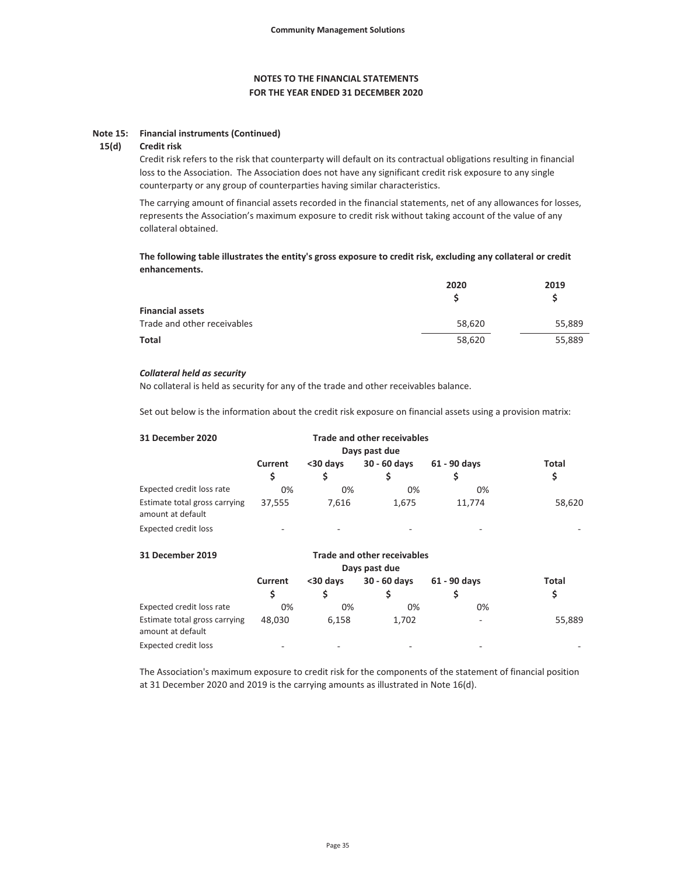#### **Note 15: Financial instruments (Continued)**

#### **15(d) Credit risk**

Credit risk refers to the risk that counterparty will default on its contractual obligations resulting in financial loss to the Association. The Association does not have any significant credit risk exposure to any single counterparty or any group of counterparties having similar characteristics.

The carrying amount of financial assets recorded in the financial statements, net of any allowances for losses, represents the Association's maximum exposure to credit risk without taking account of the value of any collateral obtained.

**The following table illustrates the entity's gross exposure to credit risk, excluding any collateral or credit enhancements.**

|                             | 2020   | 2019   |
|-----------------------------|--------|--------|
|                             |        |        |
| <b>Financial assets</b>     |        |        |
| Trade and other receivables | 58,620 | 55,889 |
| Total                       | 58,620 | 55,889 |

#### *Collateral held as security*

No collateral is held as security for any of the trade and other receivables balance.

Set out below is the information about the credit risk exposure on financial assets using a provision matrix:

| 31 December 2020                                   |         |                          |                          |              |        |
|----------------------------------------------------|---------|--------------------------|--------------------------|--------------|--------|
|                                                    | Current | <30 days                 | 30 - 60 days             | 61 - 90 days | Total  |
|                                                    | S       |                          |                          |              | \$     |
| Expected credit loss rate                          | 0%      | $0\%$                    | 0%                       | 0%           |        |
| Estimate total gross carrying<br>amount at default | 37,555  | 7,616                    | 1.675                    | 11,774       | 58,620 |
| Expected credit loss                               | ۰       | $\overline{\phantom{a}}$ | $\overline{\phantom{a}}$ | -            |        |

| 31 December 2019                                   |              |           |              |              |             |
|----------------------------------------------------|--------------|-----------|--------------|--------------|-------------|
|                                                    | Current<br>S | $30$ davs | 30 - 60 days | 61 - 90 days | Total<br>\$ |
| Expected credit loss rate                          | 0%           | 0%        | 0%           | 0%           |             |
| Estimate total gross carrying<br>amount at default | 48.030       | 6.158     | 1,702        | -            | 55,889      |
| Expected credit loss                               | -            | -         | -            | -            |             |

The Association's maximum exposure to credit risk for the components of the statement of financial position at 31 December 2020 and 2019 is the carrying amounts as illustrated in Note 16(d).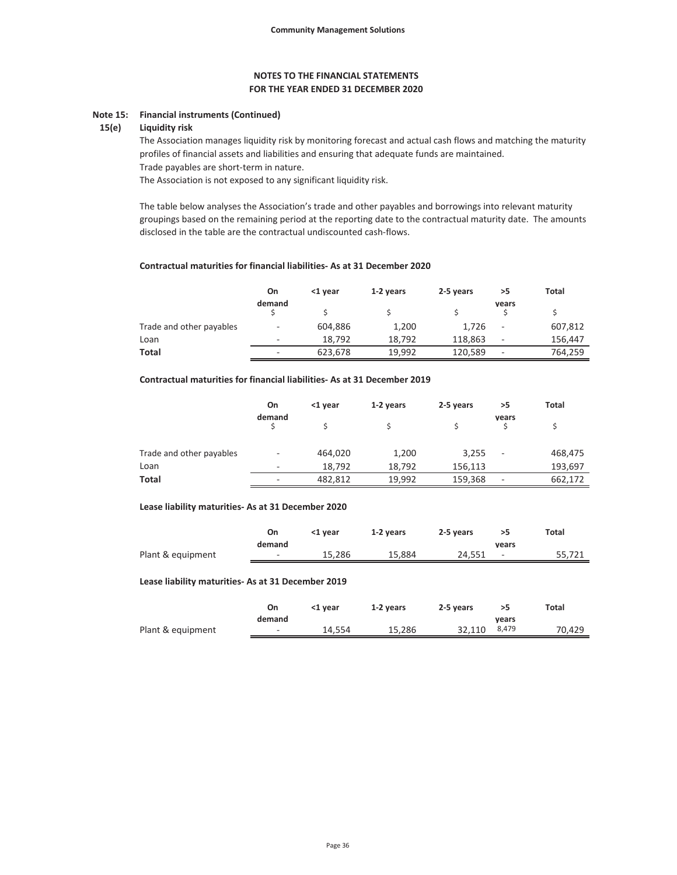#### **Note 15: Financial instruments (Continued)**

#### **15(e) Liquidity risk**

The Association manages liquidity risk by monitoring forecast and actual cash flows and matching the maturity profiles of financial assets and liabilities and ensuring that adequate funds are maintained.

Trade payables are short-term in nature.

The Association is not exposed to any significant liquidity risk.

The table below analyses the Association's trade and other payables and borrowings into relevant maturity groupings based on the remaining period at the reporting date to the contractual maturity date. The amounts disclosed in the table are the contractual undiscounted cash-flows.

#### **Contractual maturities for financial liabilities- As at 31 December 2020**

|                          | On                       | <1 year | 1-2 years | 2-5 years | >5                       | Total   |
|--------------------------|--------------------------|---------|-----------|-----------|--------------------------|---------|
|                          | demand                   |         |           |           | vears                    |         |
| Trade and other payables | $\equiv$                 | 604,886 | 1,200     | 1,726     | $\overline{\phantom{a}}$ | 607,812 |
| Loan                     | $\overline{\phantom{a}}$ | 18.792  | 18.792    | 118.863   | -                        | 156,447 |
| <b>Total</b>             | $\overline{\phantom{a}}$ | 623.678 | 19.992    | 120,589   | $\overline{\phantom{a}}$ | 764,259 |

### **Contractual maturities for financial liabilities- As at 31 December 2019**

|                          | On     | <1 year | 1-2 years | 2-5 years | >5                       | Total   |
|--------------------------|--------|---------|-----------|-----------|--------------------------|---------|
|                          | demand |         |           |           | years                    |         |
| Trade and other payables | ٠      | 464,020 | 1,200     | 3,255     | $\overline{\phantom{a}}$ | 468,475 |
| Loan                     | $\sim$ | 18.792  | 18.792    | 156.113   |                          | 193,697 |
| Total                    | -      | 482,812 | 19,992    | 159,368   | -                        | 662,172 |

#### **Lease liability maturities- As at 31 December 2020**

|                   | On     | <1 vear | 1-2 years | 2-5 years |                          | Total  |
|-------------------|--------|---------|-----------|-----------|--------------------------|--------|
|                   | demand |         |           |           | vears                    |        |
| Plant & equipment | $\sim$ | 15.286  | 15.884    | 24.551    | $\overline{\phantom{a}}$ | 55.721 |

#### **Lease liability maturities- As at 31 December 2019**

|                   | On     | <1 vear | 1-2 years | 2-5 years |       | Total  |
|-------------------|--------|---------|-----------|-----------|-------|--------|
|                   | demand |         |           |           | vears |        |
| Plant & equipment | $\sim$ | 14.554  | 15.286    | 32.110    | 8,479 | 70.429 |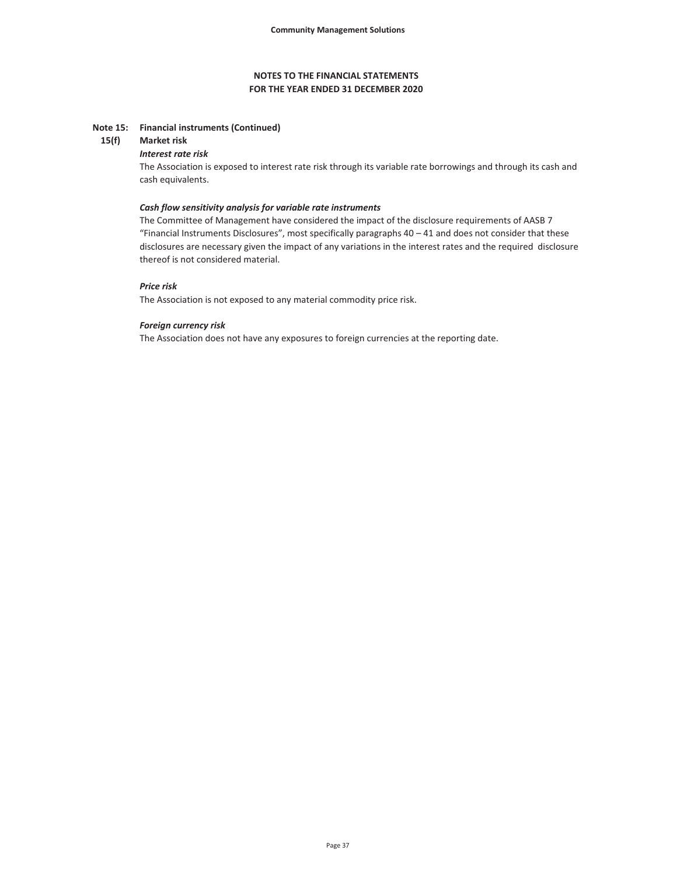#### **Note 15: Financial instruments (Continued)**

#### **15(f) Market risk**

#### *Interest rate risk*

The Association is exposed to interest rate risk through its variable rate borrowings and through its cash and cash equivalents.

#### *Cash flow sensitivity analysis for variable rate instruments*

The Committee of Management have considered the impact of the disclosure requirements of AASB 7 "Financial Instruments Disclosures", most specifically paragraphs 40 – 41 and does not consider that these disclosures are necessary given the impact of any variations in the interest rates and the required disclosure thereof is not considered material.

#### *Price risk*

The Association is not exposed to any material commodity price risk.

#### *Foreign currency risk*

The Association does not have any exposures to foreign currencies at the reporting date.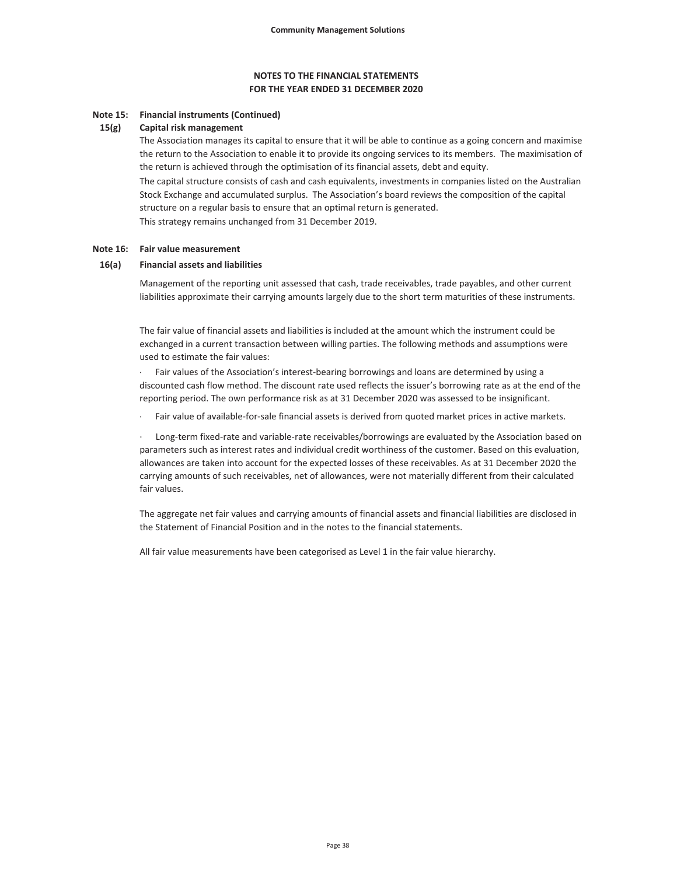## **FOR THE YEAR ENDED 31 DECEMBER 2020 NOTES TO THE FINANCIAL STATEMENTS**

#### **Note 15: Financial instruments (Continued)**

#### **15(g) Capital risk management**

The Association manages its capital to ensure that it will be able to continue as a going concern and maximise the return to the Association to enable it to provide its ongoing services to its members. The maximisation of the return is achieved through the optimisation of its financial assets, debt and equity.

The capital structure consists of cash and cash equivalents, investments in companies listed on the Australian Stock Exchange and accumulated surplus. The Association's board reviews the composition of the capital structure on a regular basis to ensure that an optimal return is generated.

This strategy remains unchanged from 31 December 2019.

#### **Note 16: Fair value measurement**

#### **16(a) Financial assets and liabilities**

Management of the reporting unit assessed that cash, trade receivables, trade payables, and other current liabilities approximate their carrying amounts largely due to the short term maturities of these instruments.

The fair value of financial assets and liabilities is included at the amount which the instrument could be exchanged in a current transaction between willing parties. The following methods and assumptions were used to estimate the fair values:

Fair values of the Association's interest-bearing borrowings and loans are determined by using a discounted cash flow method. The discount rate used reflects the issuer's borrowing rate as at the end of the reporting period. The own performance risk as at 31 December 2020 was assessed to be insignificant.

Fair value of available-for-sale financial assets is derived from quoted market prices in active markets.

Long-term fixed-rate and variable-rate receivables/borrowings are evaluated by the Association based on parameters such as interest rates and individual credit worthiness of the customer. Based on this evaluation, allowances are taken into account for the expected losses of these receivables. As at 31 December 2020 the carrying amounts of such receivables, net of allowances, were not materially different from their calculated fair values.

The aggregate net fair values and carrying amounts of financial assets and financial liabilities are disclosed in the Statement of Financial Position and in the notes to the financial statements.

All fair value measurements have been categorised as Level 1 in the fair value hierarchy.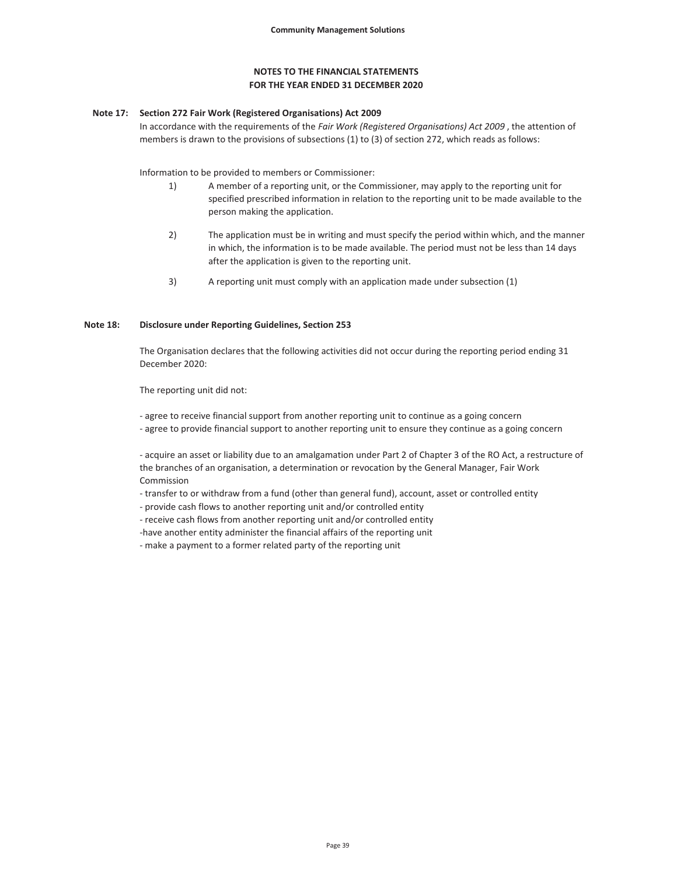#### **Note 17: Section 272 Fair Work (Registered Organisations) Act 2009**

In accordance with the requirements of the *Fair Work (Registered Organisations) Act 2009* , the attention of members is drawn to the provisions of subsections (1) to (3) of section 272, which reads as follows:

Information to be provided to members or Commissioner:

- 1) A member of a reporting unit, or the Commissioner, may apply to the reporting unit for specified prescribed information in relation to the reporting unit to be made available to the person making the application.
- 2) The application must be in writing and must specify the period within which, and the manner in which, the information is to be made available. The period must not be less than 14 days after the application is given to the reporting unit.
- 3) A reporting unit must comply with an application made under subsection (1)

#### **Note 18: Disclosure under Reporting Guidelines, Section 253**

The Organisation declares that the following activities did not occur during the reporting period ending 31 December 2020:

The reporting unit did not:

- agree to receive financial support from another reporting unit to continue as a going concern

- agree to provide financial support to another reporting unit to ensure they continue as a going concern

- acquire an asset or liability due to an amalgamation under Part 2 of Chapter 3 of the RO Act, a restructure of the branches of an organisation, a determination or revocation by the General Manager, Fair Work Commission

- transfer to or withdraw from a fund (other than general fund), account, asset or controlled entity

- provide cash flows to another reporting unit and/or controlled entity

- receive cash flows from another reporting unit and/or controlled entity

-have another entity administer the financial affairs of the reporting unit

- make a payment to a former related party of the reporting unit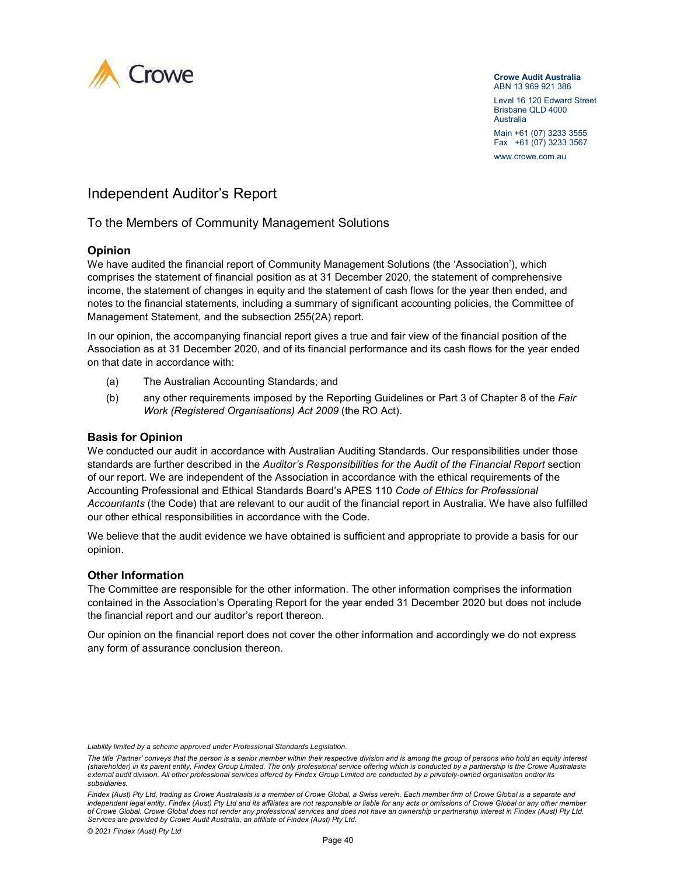

#### **Crowe Audit Australia**  ABN 13 969 921 386

Level 16 120 Edward Street Brisbane QLD 4000 Australia Main +61 (07) 3233 3555 Fax +61 (07) 3233 3567 WWW.crowe.com.au

# Independent Auditor's Report

# To the Members of Community Management Solutions

# **Opinion**

We have audited the financial report of Community Management Solutions (the 'Association'), which comprises the statement of financial position as at 31 December 2020, the statement of comprehensive income, the statement of changes in equity and the statement of cash flows for the year then ended, and notes to the financial statements, including a summary of significant accounting policies, the Committee of Management Statement, and the subsection 255(2A) report.

In our opinion, the accompanying financial report gives a true and fair view of the financial position of the Association as at 31 December 2020, and of its financial performance and its cash flows for the year ended on that date in accordance with:

- (a) The Australian Accounting Standards; and
- (b) any other requirements imposed by the Reporting Guidelines or Part 3 of Chapter 8 of the *Fair Work (Registered Organisations) Act 2009* (the RO Act).

# **Basis for Opinion**

We conducted our audit in accordance with Australian Auditing Standards. Our responsibilities under those standards are further described in the *Auditor's Responsibilities for the Audit of the Financial Report* section of our report. We are independent of the Association in accordance with the ethical requirements of the Accounting Professional and Ethical Standards Board's APES 110 *Code of Ethics for Professional Accountants* (the Code) that are relevant to our audit of the financial report in Australia. We have also fulfilled our other ethical responsibilities in accordance with the Code.

We believe that the audit evidence we have obtained is sufficient and appropriate to provide a basis for our opinion.

### **Other Information**

The Committee are responsible for the other information. The other information comprises the information contained in the Association's Operating Report for the year ended 31 December 2020 but does not include the financial report and our auditor's report thereon.

Our opinion on the financial report does not cover the other information and accordingly we do not express any form of assurance conclusion thereon.

*Liability limited by a scheme approved under Professional Standards Legislation.* 

*The title 'Partner' conveys that the person is a senior member within their respective division and is among the group of persons who hold an equity interest (shareholder) in its parent entity, Findex Group Limited. The only professional service offering which is conducted by a partnership is the Crowe Australasia external audit division. All other professional services offered by Findex Group Limited are conducted by a privately-owned organisation and/or its subsidiaries.* 

*Findex (Aust) Pty Ltd, trading as Crowe Australasia is a member of Crowe Global, a Swiss verein. Each member firm of Crowe Global is a separate and independent legal entity. Findex (Aust) Pty Ltd and its affiliates are not responsible or liable for any acts or omissions of Crowe Global or any other member of Crowe Global. Crowe Global does not render any professional services and does not have an ownership or partnership interest in Findex (Aust) Pty Ltd. Services are provided by Crowe Audit Australia, an affiliate of Findex (Aust) Pty Ltd.*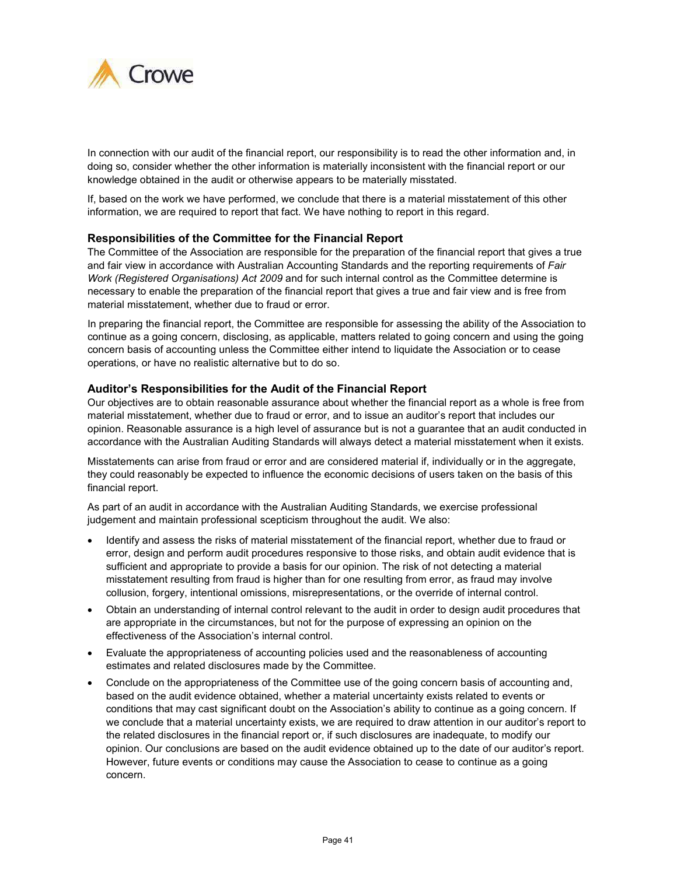

In connection with our audit of the financial report, our responsibility is to read the other information and, in doing so, consider whether the other information is materially inconsistent with the financial report or our knowledge obtained in the audit or otherwise appears to be materially misstated.

If, based on the work we have performed, we conclude that there is a material misstatement of this other information, we are required to report that fact. We have nothing to report in this regard.

# **Responsibilities of the Committee for the Financial Report**

The Committee of the Association are responsible for the preparation of the financial report that gives a true and fair view in accordance with Australian Accounting Standards and the reporting requirements of *Fair Work (Registered Organisations) Act 2009* and for such internal control as the Committee determine is necessary to enable the preparation of the financial report that gives a true and fair view and is free from material misstatement, whether due to fraud or error.

In preparing the financial report, the Committee are responsible for assessing the ability of the Association to continue as a going concern, disclosing, as applicable, matters related to going concern and using the going concern basis of accounting unless the Committee either intend to liquidate the Association or to cease operations, or have no realistic alternative but to do so.

# **Auditor's Responsibilities for the Audit of the Financial Report**

Our objectives are to obtain reasonable assurance about whether the financial report as a whole is free from material misstatement, whether due to fraud or error, and to issue an auditor's report that includes our opinion. Reasonable assurance is a high level of assurance but is not a guarantee that an audit conducted in accordance with the Australian Auditing Standards will always detect a material misstatement when it exists.

Misstatements can arise from fraud or error and are considered material if, individually or in the aggregate, they could reasonably be expected to influence the economic decisions of users taken on the basis of this financial report.

As part of an audit in accordance with the Australian Auditing Standards, we exercise professional judgement and maintain professional scepticism throughout the audit. We also:

- Identify and assess the risks of material misstatement of the financial report, whether due to fraud or error, design and perform audit procedures responsive to those risks, and obtain audit evidence that is sufficient and appropriate to provide a basis for our opinion. The risk of not detecting a material misstatement resulting from fraud is higher than for one resulting from error, as fraud may involve collusion, forgery, intentional omissions, misrepresentations, or the override of internal control.
- Obtain an understanding of internal control relevant to the audit in order to design audit procedures that are appropriate in the circumstances, but not for the purpose of expressing an opinion on the effectiveness of the Association's internal control.
- Evaluate the appropriateness of accounting policies used and the reasonableness of accounting estimates and related disclosures made by the Committee.
- Conclude on the appropriateness of the Committee use of the going concern basis of accounting and, based on the audit evidence obtained, whether a material uncertainty exists related to events or conditions that may cast significant doubt on the Association's ability to continue as a going concern. If we conclude that a material uncertainty exists, we are required to draw attention in our auditor's report to the related disclosures in the financial report or, if such disclosures are inadequate, to modify our opinion. Our conclusions are based on the audit evidence obtained up to the date of our auditor's report. However, future events or conditions may cause the Association to cease to continue as a going concern.